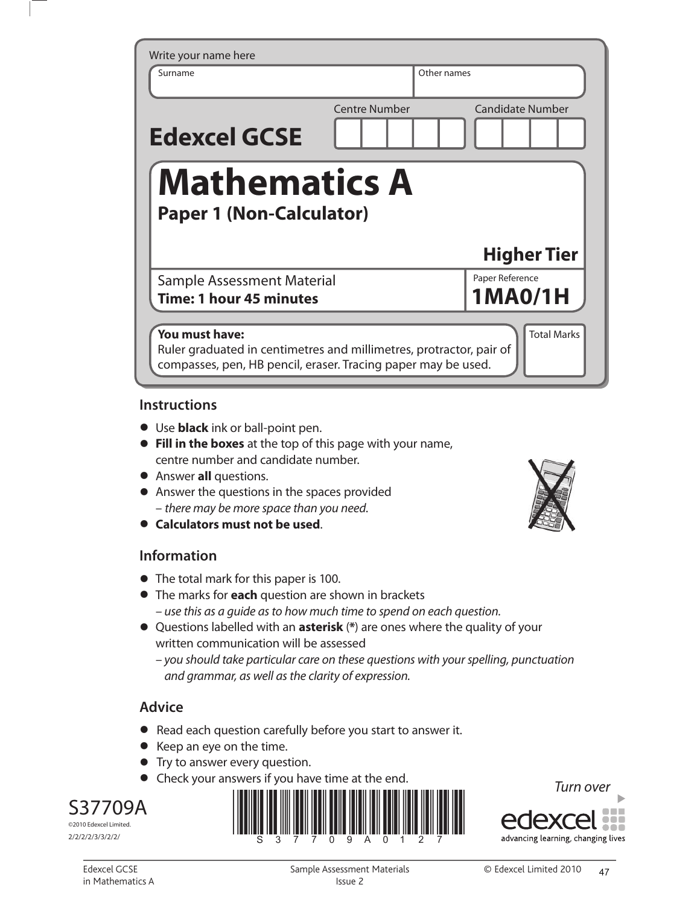| Write your name here                                         |                      |                    |
|--------------------------------------------------------------|----------------------|--------------------|
| Surname                                                      | Other names          |                    |
|                                                              |                      |                    |
| <b>Edexcel GCSE</b>                                          | <b>Centre Number</b> | Candidate Number   |
| <b>Mathematics A</b>                                         |                      |                    |
| <b>Paper 1 (Non-Calculator)</b>                              |                      |                    |
|                                                              |                      | <b>Higher Tier</b> |
|                                                              |                      | Paper Reference    |
| Sample Assessment Material<br><b>Time: 1 hour 45 minutes</b> |                      | 1MA0/1H            |
|                                                              |                      |                    |

### **Instructions**

- **•** Use **black** ink or ball-point pen.
- **• Fill in the boxes** at the top of this page with your name, centre number and candidate number.
- **•** Answer **all** questions.
- **•** Answer the questions in the spaces provided – there may be more space than you need.
- **• Calculators must not be used**.

## **Information**

- **•** The total mark for this paper is 100.
- **•** The marks for **each** question are shown in brackets – use this as a guide as to how much time to spend on each question.
- **•** Questions labelled with an **asterisk** (**\***) are ones where the quality of your written communication will be assessed
	- you should take particular care on these questions with your spelling, punctuation and grammar, as well as the clarity of expression.

## **Advice**

- **•** Read each question carefully before you start to answer it.
- Read each question caref<br>• Keep an eye on the time.
- Keep an eye on the time.<br>• Try to answer every question.
- **•** Check your answers if you have time at the end.



2/2/2/2/3/3/2/2/







in Mathematics A

Edexcel GCSE Sample Assessment Materials © Edexcel Limited 2010<br>in Mathematics A Sample Assessment Materials (Sepanda Controller 2010)

47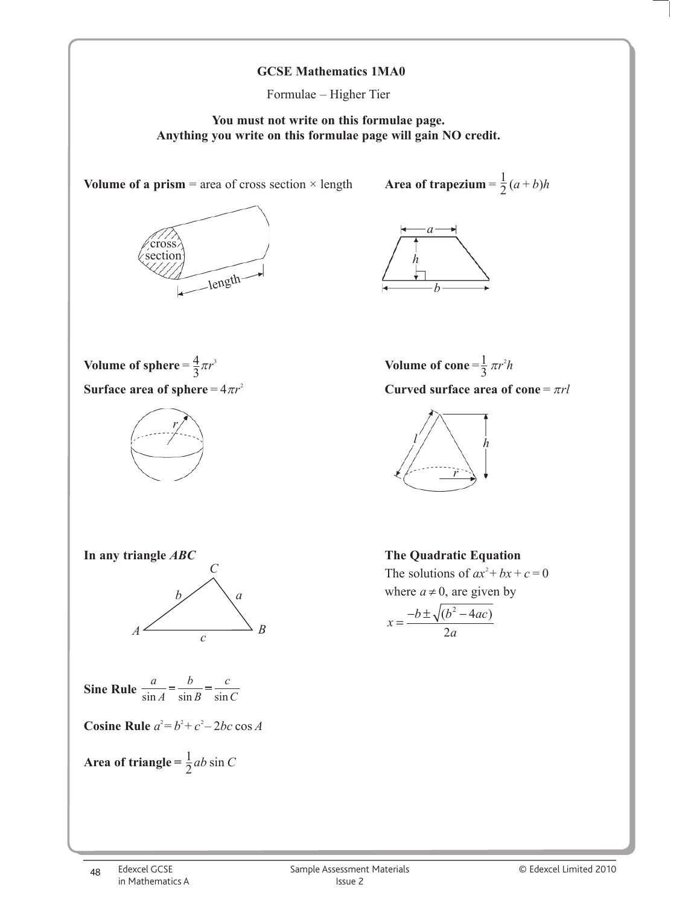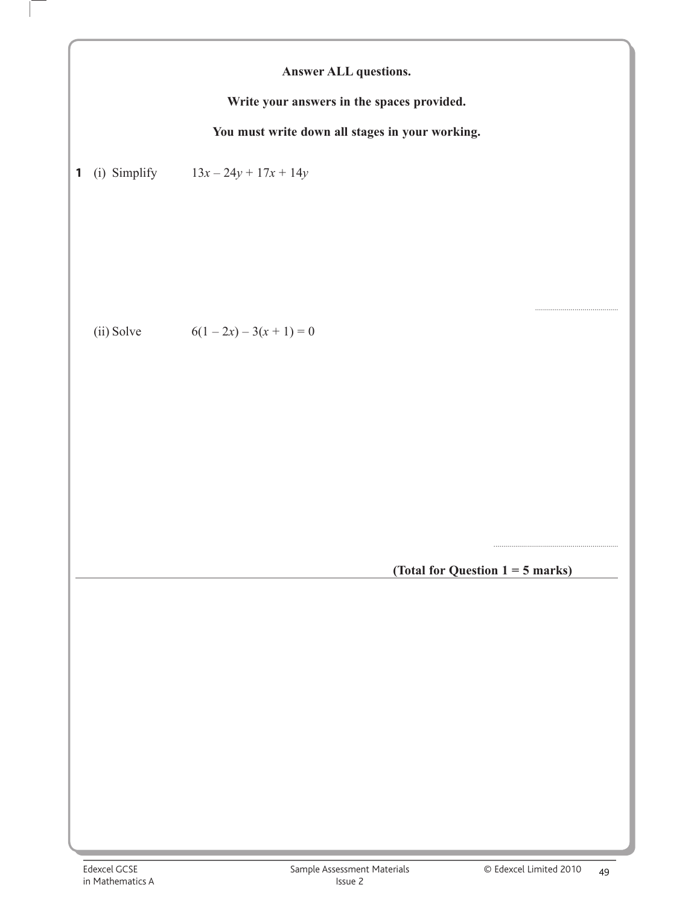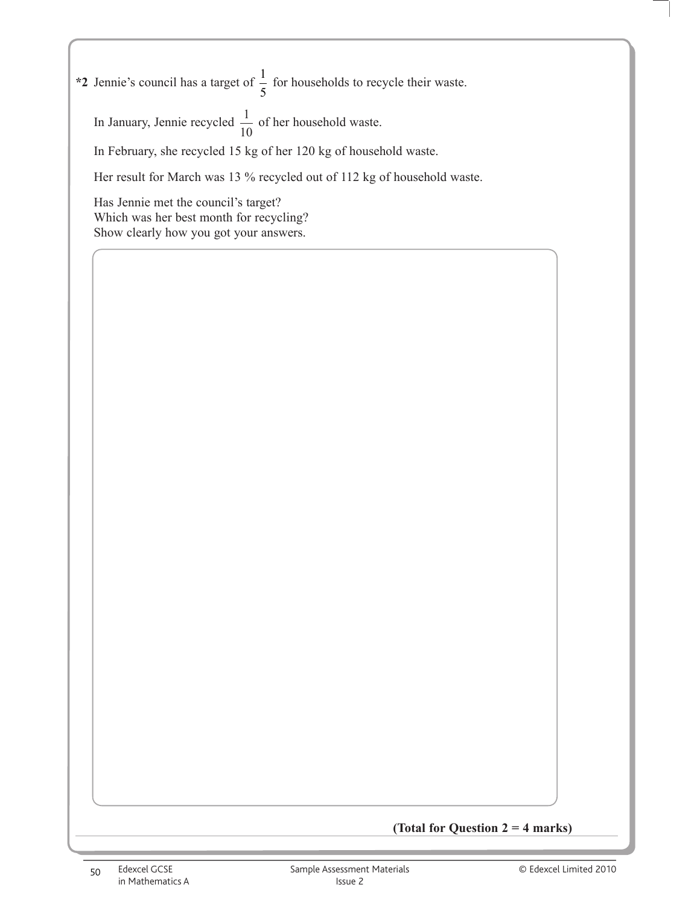**\*2** Jennie's council has a target of 5  $\frac{1}{5}$  for households to recycle their waste.

In January, Jennie recycled  $\frac{1}{16}$ 10 of her household waste.

In February, she recycled 15 kg of her 120 kg of household waste.

Her result for March was 13 % recycled out of 112 kg of household waste.

 Has Jennie met the council's target? Which was her best month for recycling? Show clearly how you got your answers.

#### **(Total for Question 2 = 4 marks)**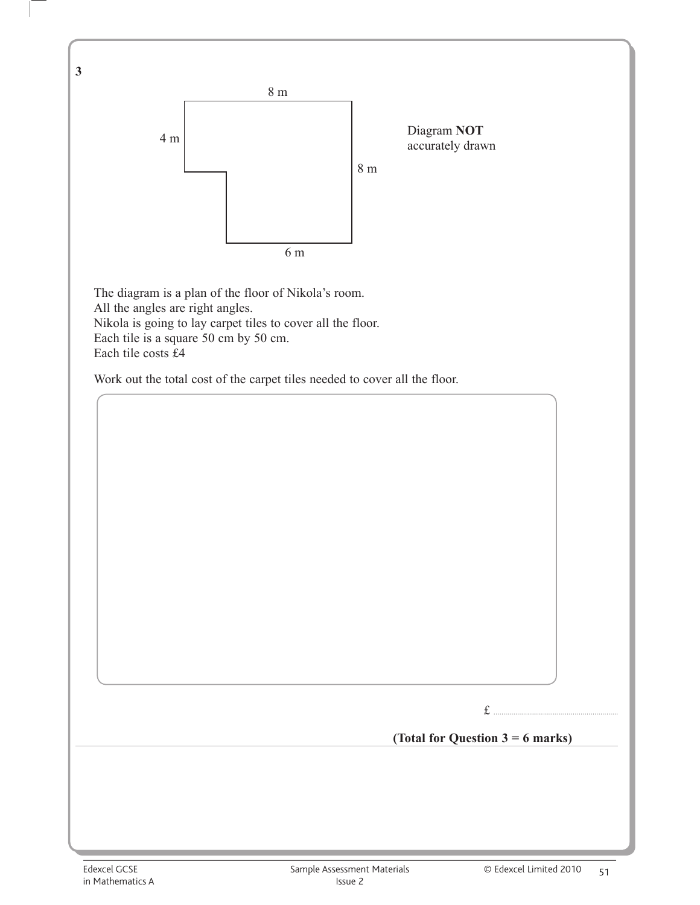

£ ...............................................................

#### **(Total for Question 3 = 6 marks)**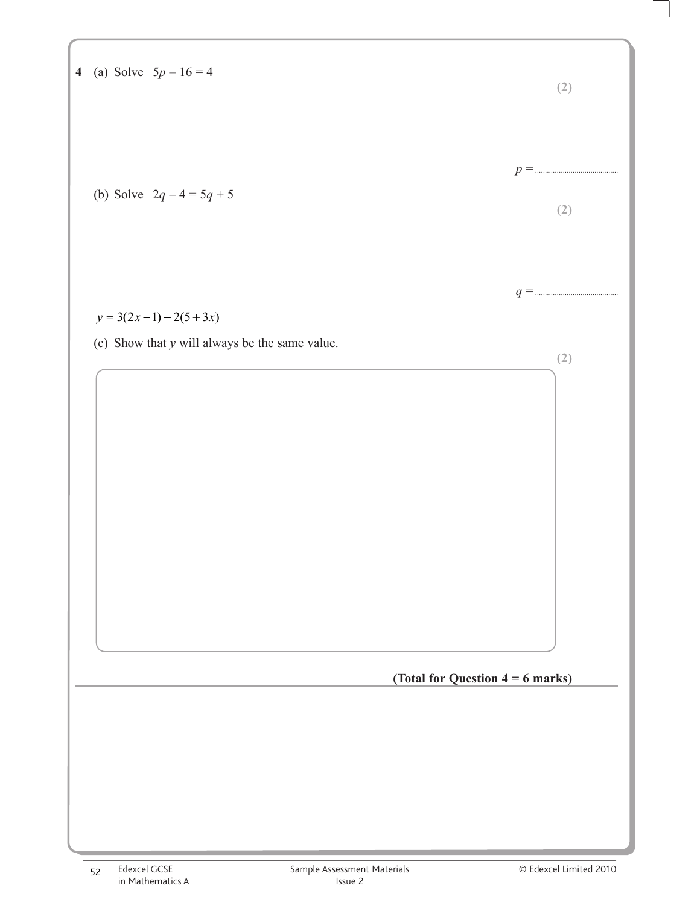| 4 (a) Solve $5p - 16 = 4$                        | (2)          |
|--------------------------------------------------|--------------|
| (b) Solve $2q - 4 = 5q + 5$                      | $p =$<br>(2) |
| $y = 3(2x-1) - 2(5+3x)$                          | $q =$        |
| (c) Show that $y$ will always be the same value. | (2)          |
|                                                  |              |
|                                                  |              |
|                                                  |              |
| (Total for Question $4 = 6$ marks)               |              |
|                                                  |              |
|                                                  |              |

 $\frac{1}{2}$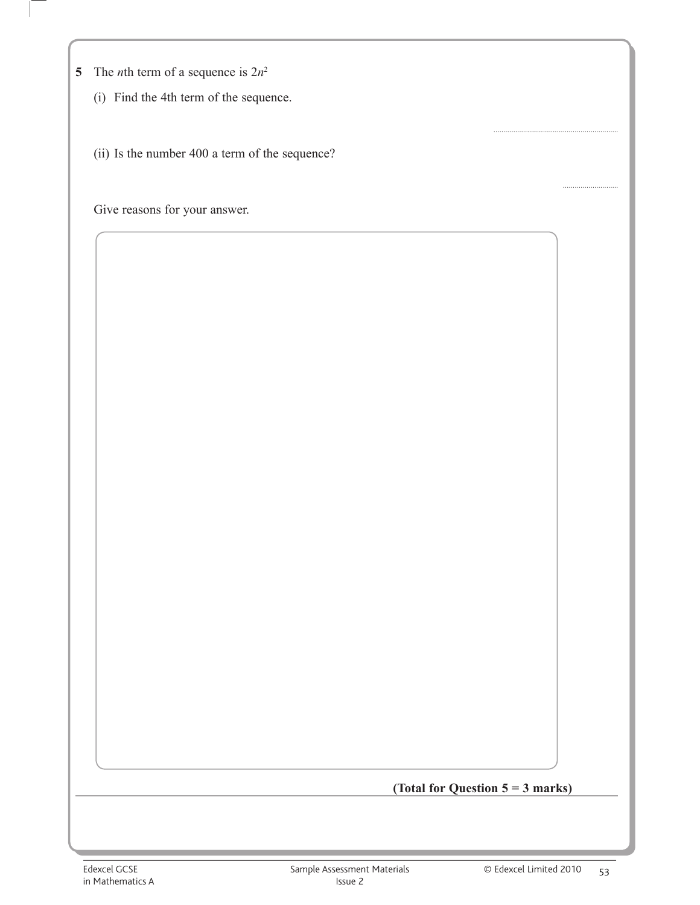- **5** The *n*th term of a sequence is  $2n^2$ 
	- (i) Find the 4th term of the sequence.
	- (ii) Is the number 400 a term of the sequence?

Give reasons for your answer.

### **(Total for Question 5 = 3 marks)**

...............................................................

............................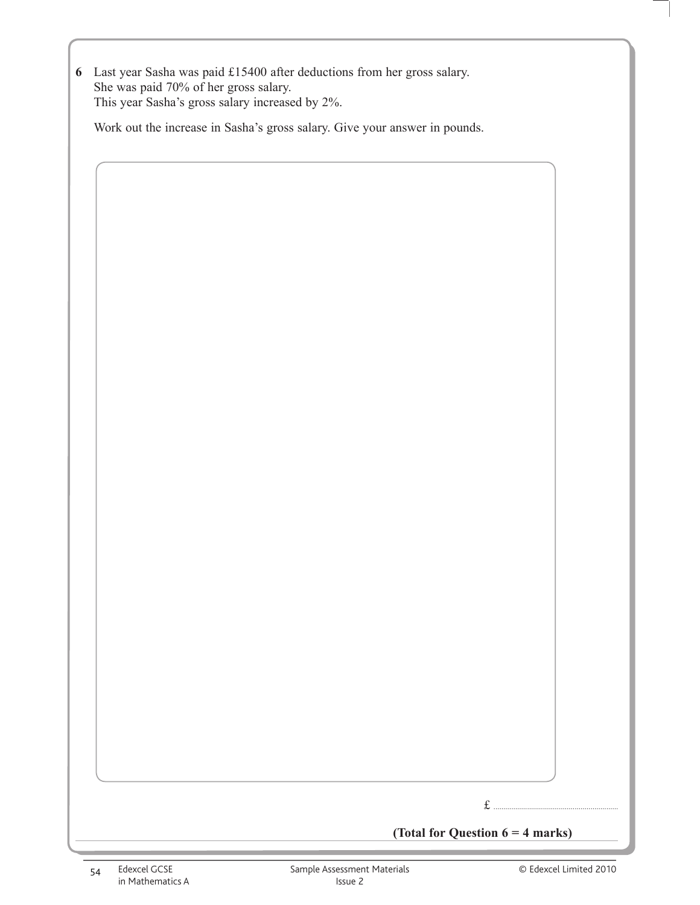| 6 Last year Sasha was paid £15400 after deductions from her gross salary. |
|---------------------------------------------------------------------------|
| She was paid 70% of her gross salary.                                     |
| This year Sasha's gross salary increased by 2%.                           |

Work out the increase in Sasha's gross salary. Give your answer in pounds.



£ ...............................................................

and the control of the control of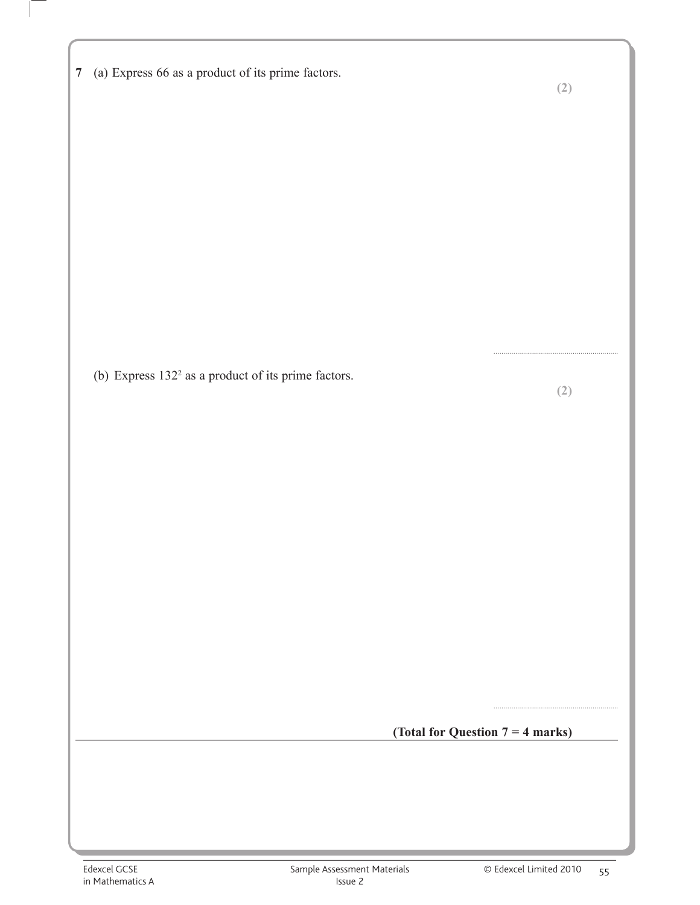|  | 7 (a) Express 66 as a product of its prime factors. |  |  |  |  |  |
|--|-----------------------------------------------------|--|--|--|--|--|
|--|-----------------------------------------------------|--|--|--|--|--|

 $\mathbf{I}$ 

(b) Express  $132<sup>2</sup>$  as a product of its prime factors.

**(2)**

...............................................................

**(2)**

**(Total for Question 7 = 4 marks)**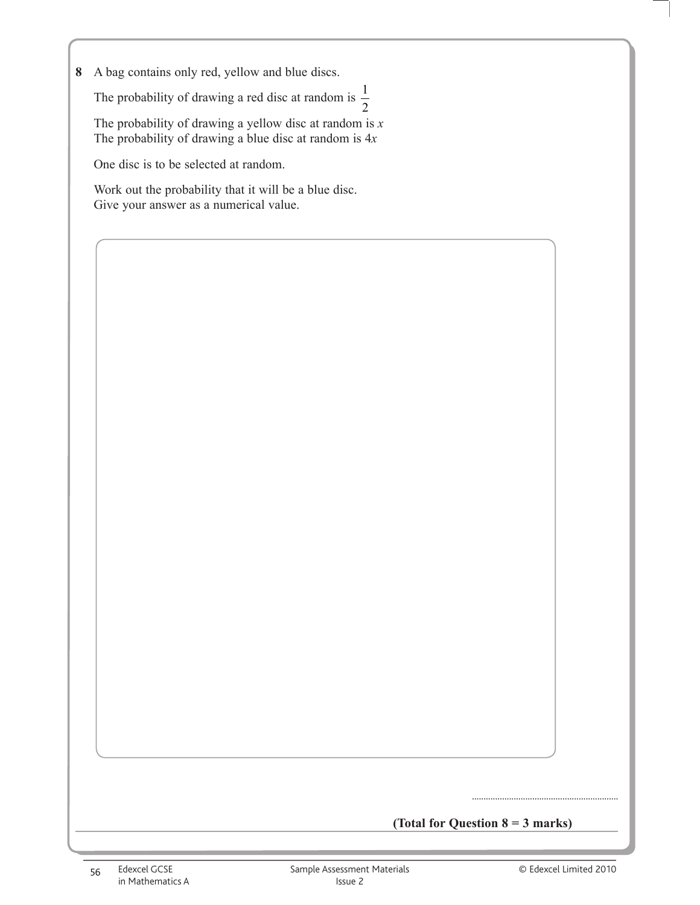**8** A bag contains only red, yellow and blue discs.

 The probability of drawing a red disc at random is 2 1

 The probability of drawing a yellow disc at random is *x* The probability of drawing a blue disc at random is 4*x*

One disc is to be selected at random.

 Work out the probability that it will be a blue disc. Give your answer as a numerical value.

**(Total for Question 8 = 3 marks)**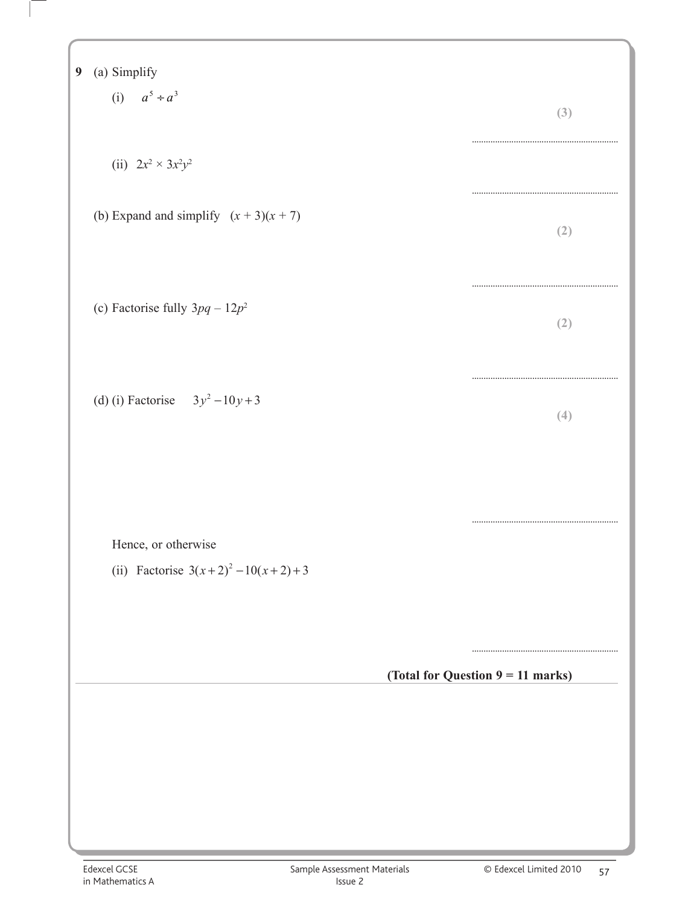| (a) Simplify<br>$\boldsymbol{9}$                               |                                     |
|----------------------------------------------------------------|-------------------------------------|
| (i) $a^5 \div a^3$                                             | (3)                                 |
| (ii) $2x^2 \times 3x^2y^2$                                     |                                     |
| (b) Expand and simplify $(x + 3)(x + 7)$                       | (2)                                 |
| (c) Factorise fully $3pq - 12p^2$                              | (2)                                 |
| (d) (i) Factorise $3y^2 - 10y + 3$                             | (4)                                 |
| Hence, or otherwise<br>(ii) Factorise $3(x+2)^2 - 10(x+2) + 3$ |                                     |
|                                                                | (Total for Question $9 = 11$ marks) |

 $\mathbf{r}$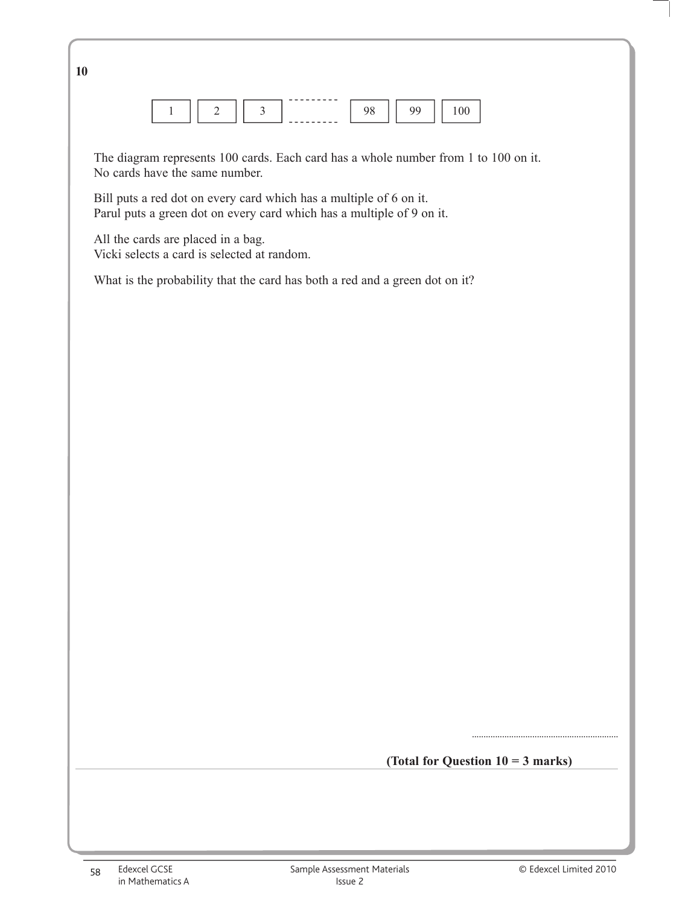**10**

|  | -<br>- - |  |  |
|--|----------|--|--|
|  |          |  |  |

 The diagram represents 100 cards. Each card has a whole number from 1 to 100 on it. No cards have the same number.

 Bill puts a red dot on every card which has a multiple of 6 on it. Parul puts a green dot on every card which has a multiple of 9 on it.

 All the cards are placed in a bag. Vicki selects a card is selected at random.

What is the probability that the card has both a red and a green dot on it?

**(Total for Question 10 = 3 marks)**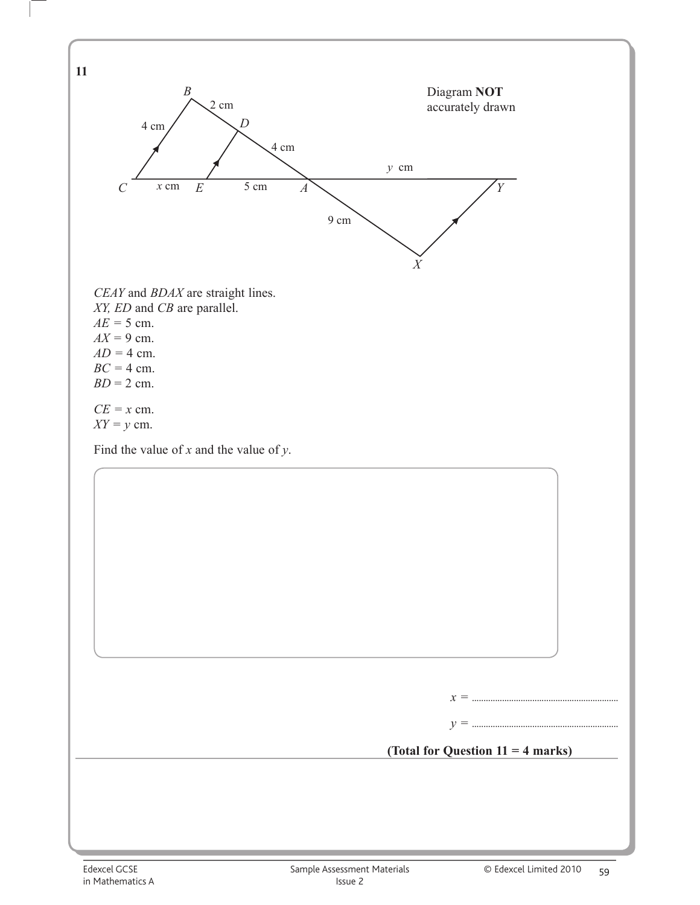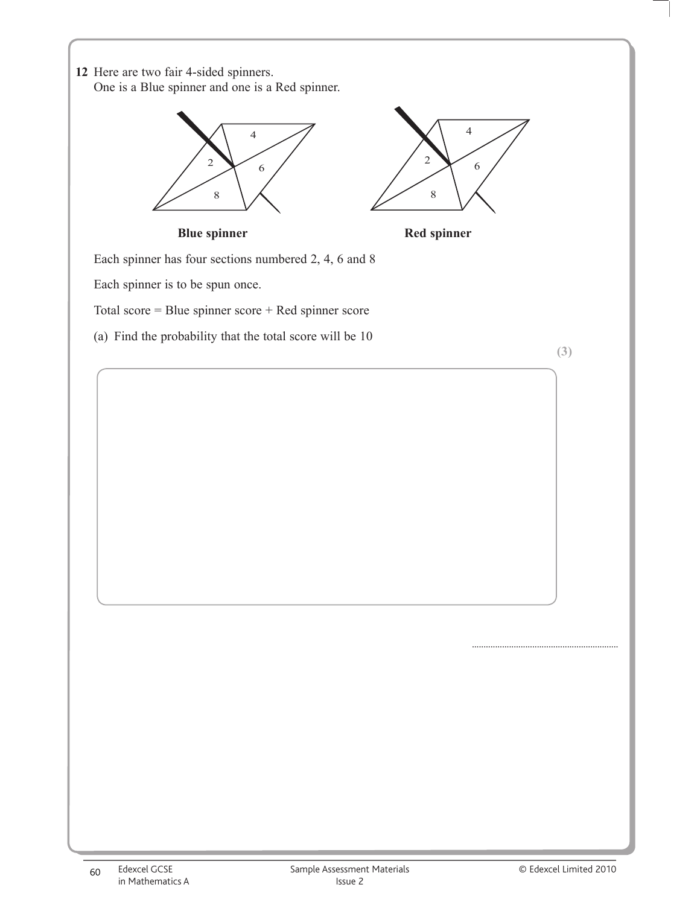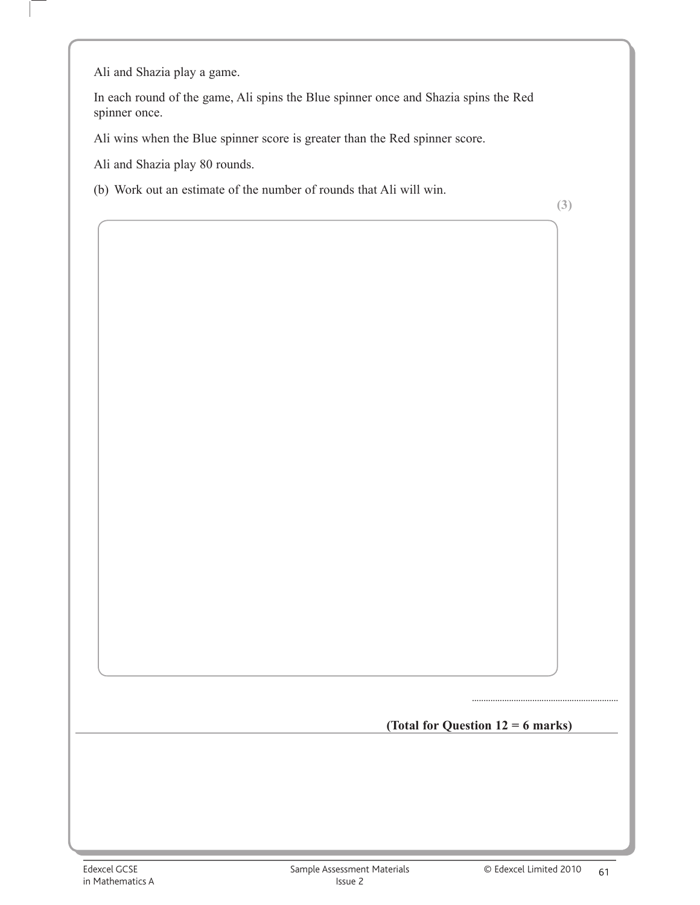Ali and Shazia play a game.

 In each round of the game, Ali spins the Blue spinner once and Shazia spins the Red spinner once.

Ali wins when the Blue spinner score is greater than the Red spinner score.

Ali and Shazia play 80 rounds.

(b) Work out an estimate of the number of rounds that Ali will win.

**(3)**

**(Total for Question 12 = 6 marks)**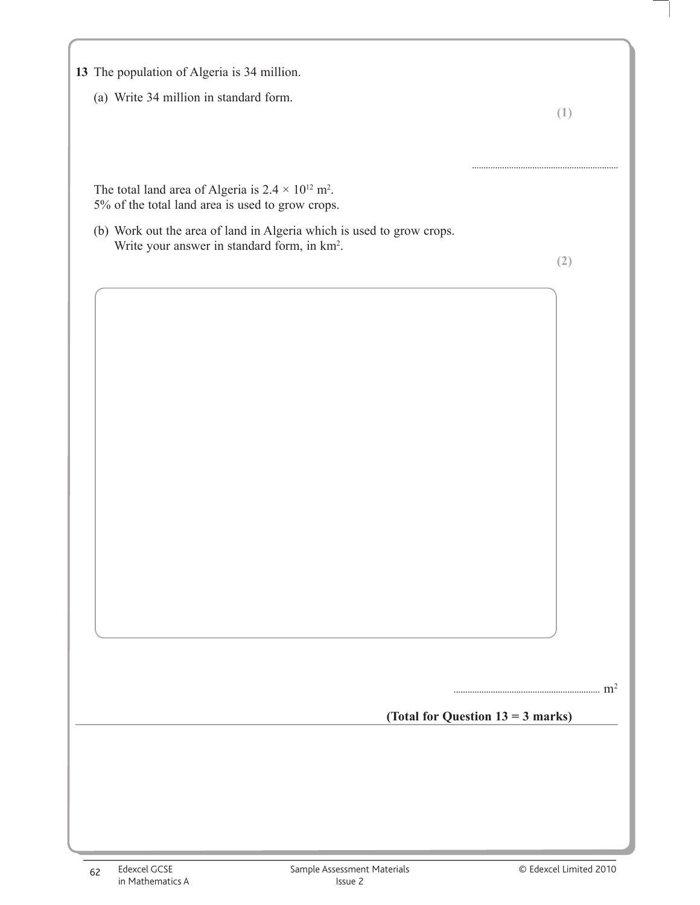| 13 The population of Algeria is 34 million.                                                                                       |                |
|-----------------------------------------------------------------------------------------------------------------------------------|----------------|
| (a) Write 34 million in standard form.                                                                                            | (1)            |
|                                                                                                                                   |                |
| The total land area of Algeria is $2.4 \times 10^{12}$ m <sup>2</sup> .<br>5% of the total land area is used to grow crops.       |                |
| (b) Work out the area of land in Algeria which is used to grow crops.<br>Write your answer in standard form, in km <sup>2</sup> . | (2)            |
|                                                                                                                                   |                |
|                                                                                                                                   |                |
|                                                                                                                                   |                |
|                                                                                                                                   |                |
|                                                                                                                                   |                |
|                                                                                                                                   |                |
|                                                                                                                                   |                |
|                                                                                                                                   |                |
|                                                                                                                                   |                |
|                                                                                                                                   |                |
|                                                                                                                                   | m <sup>2</sup> |
| (Total for Question $13 = 3$ marks)                                                                                               |                |
|                                                                                                                                   |                |
|                                                                                                                                   |                |
|                                                                                                                                   |                |

the control of the control of the control of the control of the

and the control of the control of the control of

 $\overline{\phantom{a}}$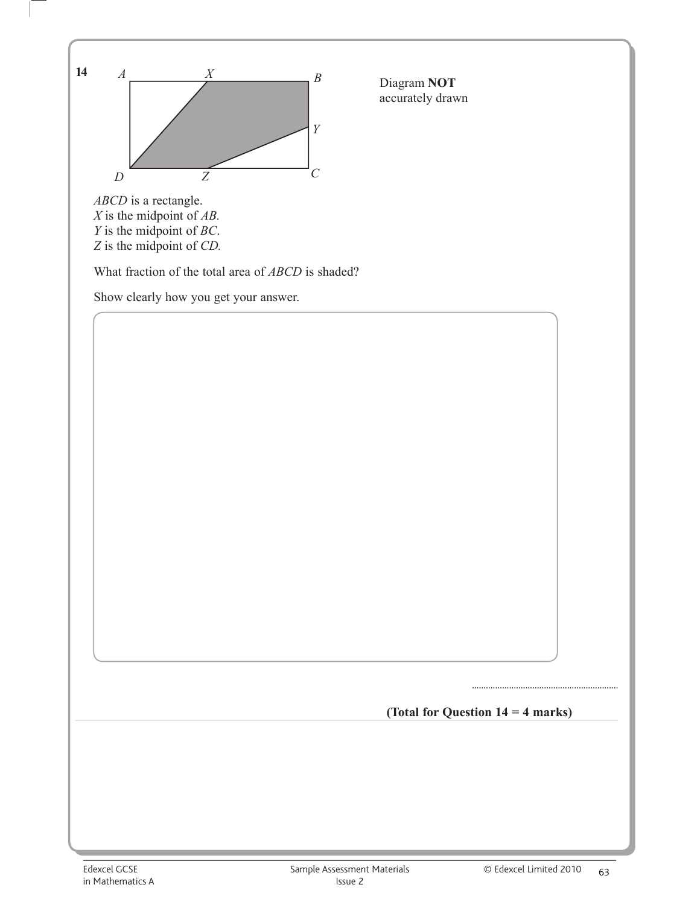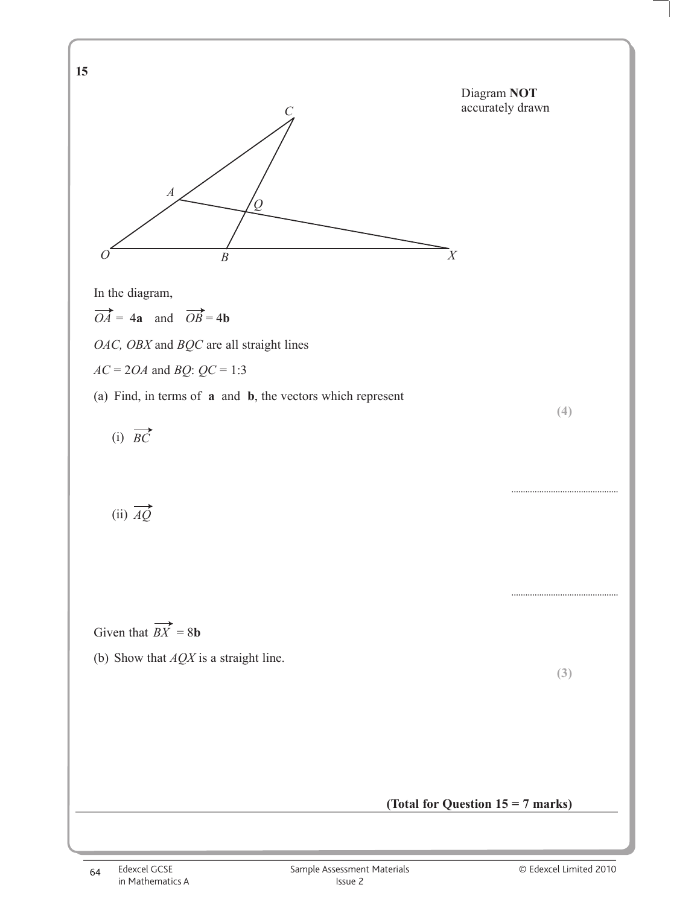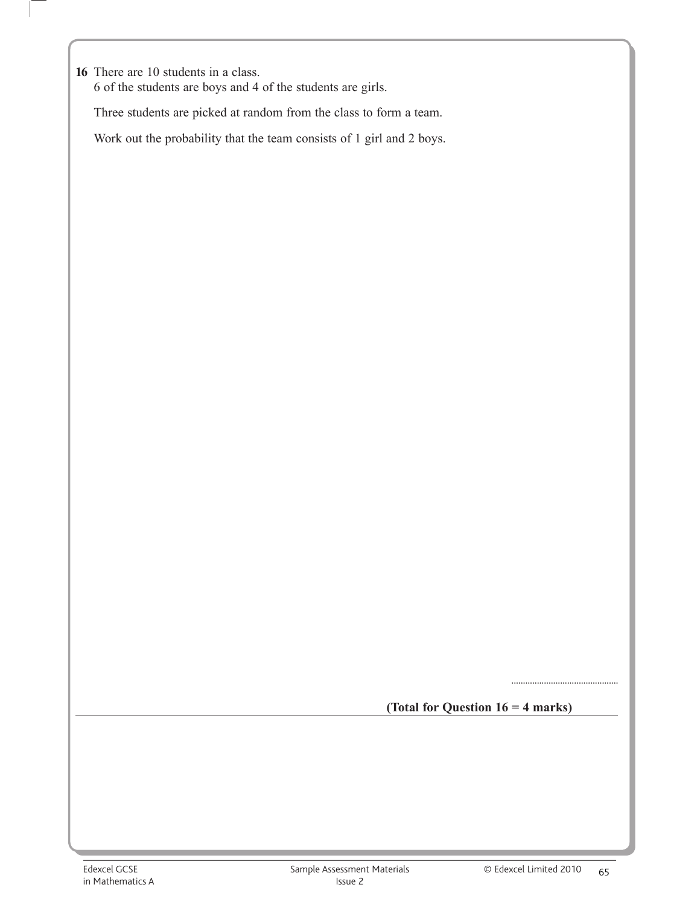**16** There are 10 students in a class.

6 of the students are boys and 4 of the students are girls.

Three students are picked at random from the class to form a team.

Work out the probability that the team consists of 1 girl and 2 boys.

**(Total for Question 16 = 4 marks)**

**..............................................**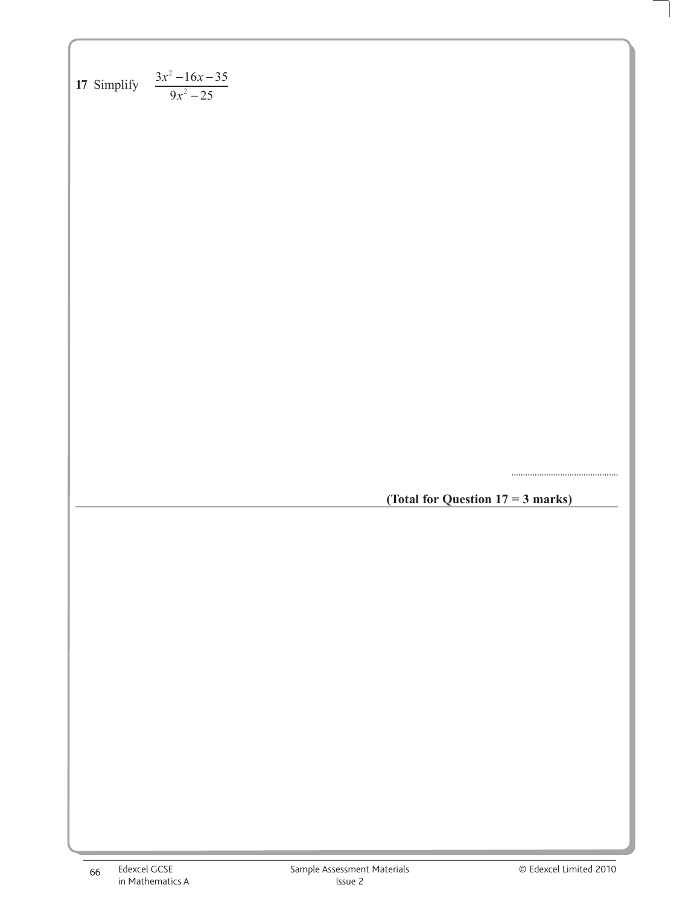| 17 Simplify $\frac{3x^2 - 16x - 35}{9x^2 - 25}$ |  |                                     |  |
|-------------------------------------------------|--|-------------------------------------|--|
|                                                 |  |                                     |  |
|                                                 |  |                                     |  |
|                                                 |  |                                     |  |
|                                                 |  |                                     |  |
|                                                 |  |                                     |  |
|                                                 |  | (Total for Question $17 = 3$ marks) |  |
|                                                 |  |                                     |  |
|                                                 |  |                                     |  |
|                                                 |  |                                     |  |
| 10000                                           |  |                                     |  |

 $\frac{1}{2}$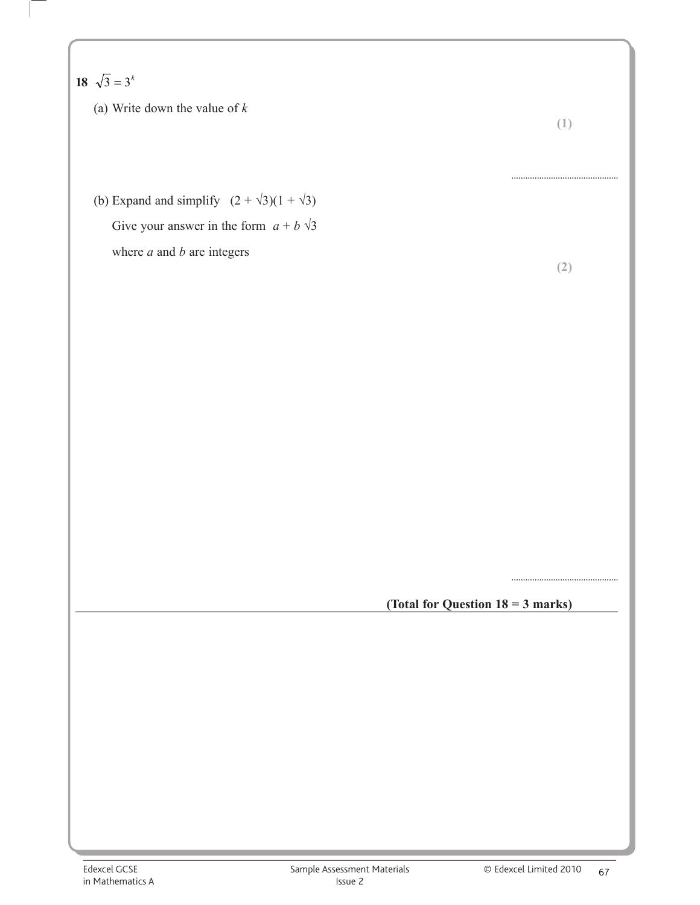# **18**  $\sqrt{3} = 3^k$

(a) Write down the value of *k*

**(1)**

**..............................................**

(b) Expand and simplify  $(2 + \sqrt{3})(1 + \sqrt{3})$ Give your answer in the form  $a + b \sqrt{3}$ 

where *a* and *b* are integers

**(2)**

**..............................................**

**(Total for Question 18 = 3 marks)**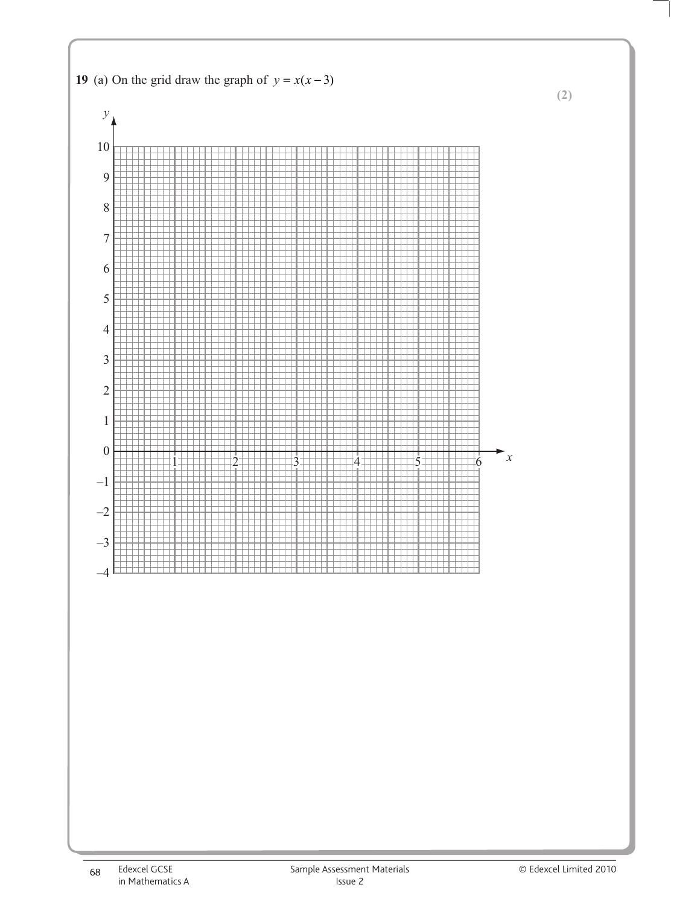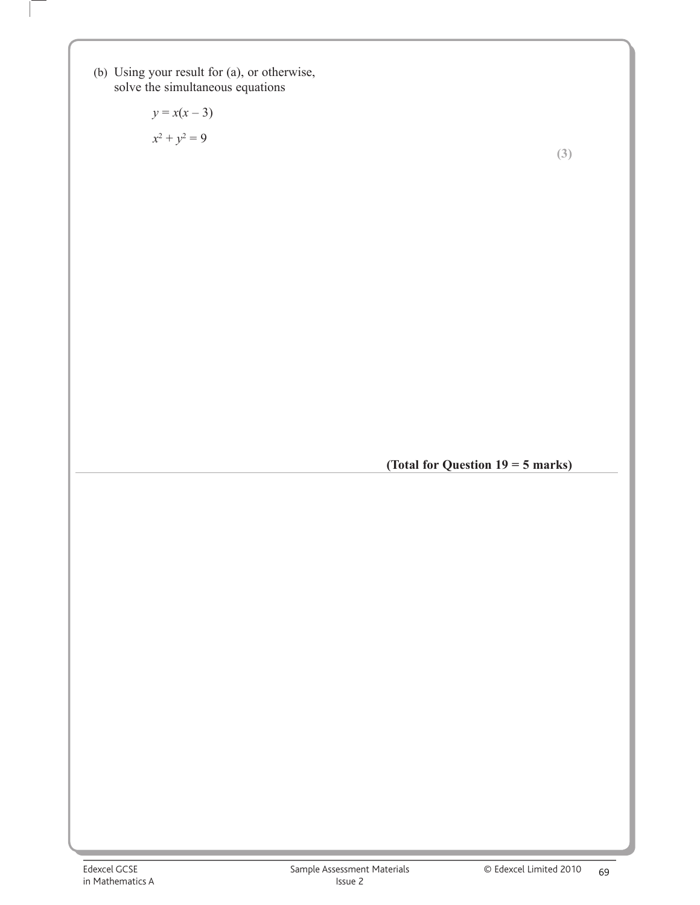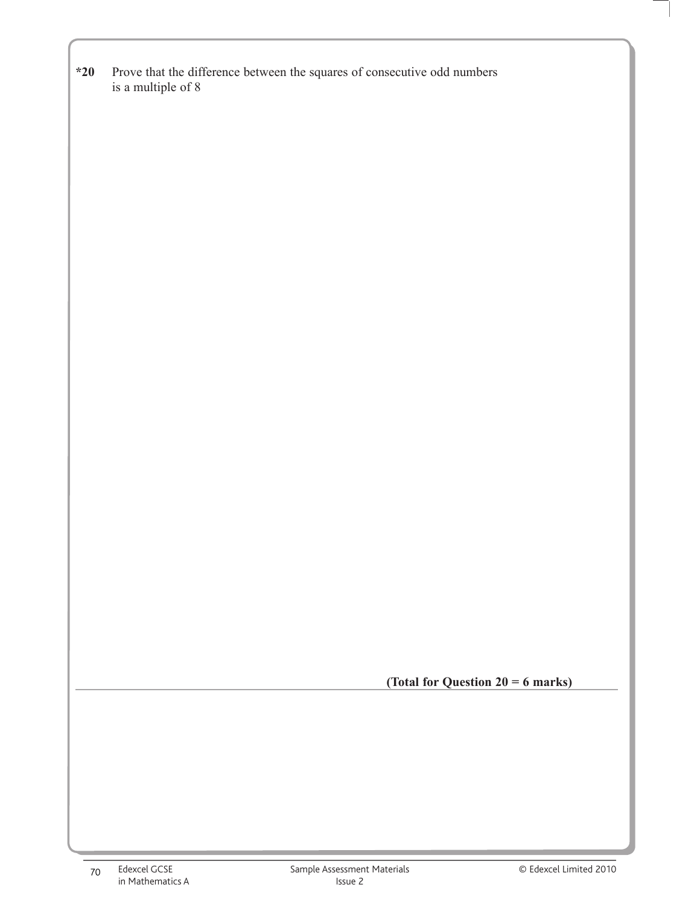| $*20$ | Prove that the difference between the squares of consecutive odd numbers |
|-------|--------------------------------------------------------------------------|
|       | is a multiple of 8                                                       |

**(Total for Question 20 = 6 marks)**

 $\overline{\phantom{a}}$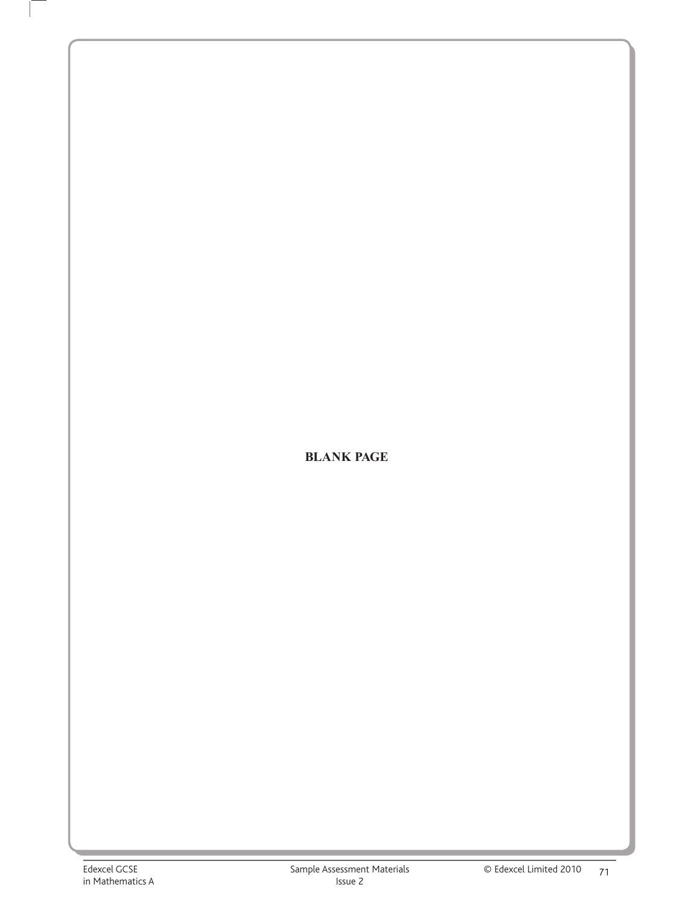**BLANK PAGE**

 $\overline{\phantom{a}}$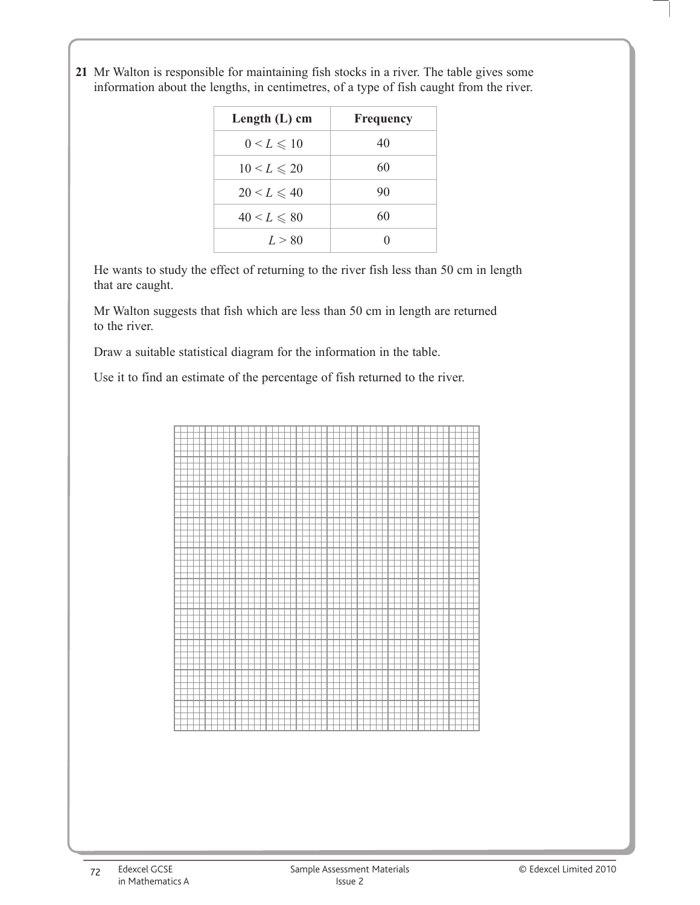| Length $(L)$ cm    | Frequency |
|--------------------|-----------|
| $0 \leq L \leq 10$ | 40        |
| $10 < L \le 20$    | 60        |
| $20 \le L \le 40$  | 90        |
| $40 \le L \le 80$  | 60        |
| L > 80             |           |

**21** Mr Walton is responsible for maintaining fish stocks in a river. The table gives some information about the lengths, in centimetres, of a type of fish caught from the river.

 He wants to study the effect of returning to the river fish less than 50 cm in length that are caught.

 Mr Walton suggests that fish which are less than 50 cm in length are returned to the river.

Draw a suitable statistical diagram for the information in the table.

Use it to find an estimate of the percentage of fish returned to the river.

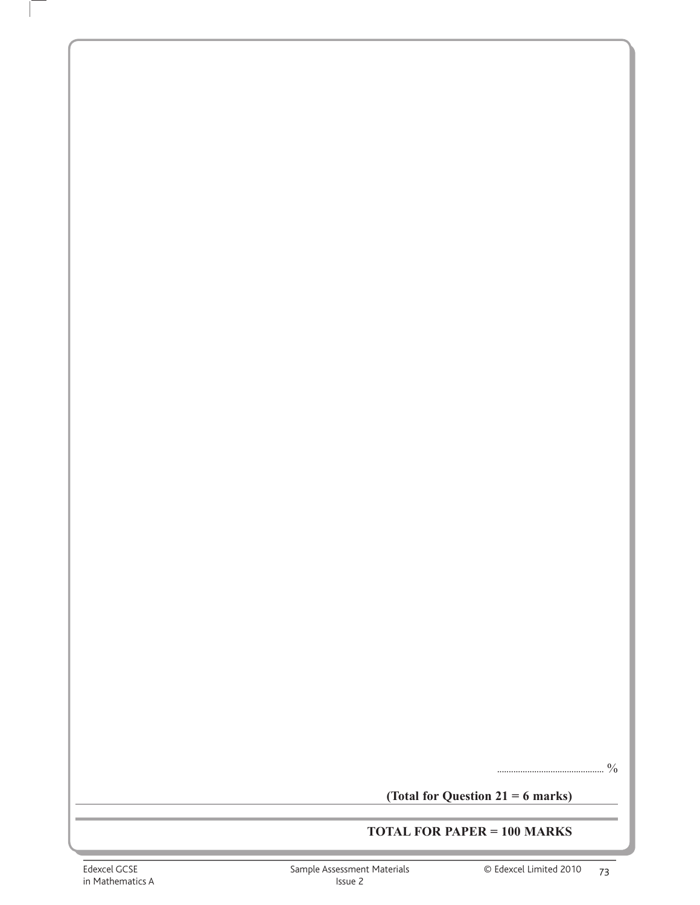**..............................................** %

 **(Total for Question 21 = 6 marks)**

## **TOTAL FOR PAPER = 100 MARKS**

 $\overline{\phantom{a}}$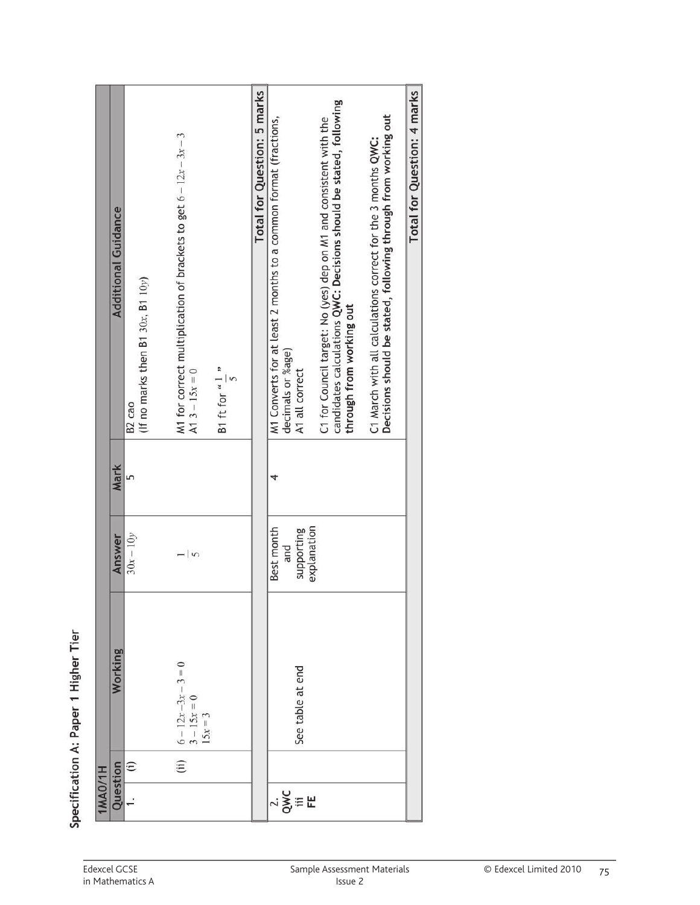| $\frac{2}{2}$ 를 뿐 | (i)<br>Question<br>$\widehat{c}$<br><b>IMA0/1H</b> | Working<br>$6 - 12x - 3x - 3 = 0$<br>$3 - 15x = 0$<br>$15x = 3$<br>See table at end | explanation<br>Best month<br>supporting<br>$30x - 10y$<br>Answer<br>and<br>5 | Mark<br>5 | Total for Question: 5 marks<br>candidates calculations QWC: Decisions should be stated, following<br>Decisions should be stated, following through from working out<br>M1 Converts for at least 2 months to a common format (fractions,<br>C1 for Council target: No (yes) dep on M1 and consistent with the<br>M1 for correct multiplication of brackets to get $6 - 12x - 3x - 3$<br>C1 March with all calculations correct for the 3 months QWC:<br><b>Additional Guidance</b><br>(If no marks then B1 30x, B1 10y)<br>through from working out<br>decimals or %age)<br>B1 ft for $u \perp v$<br>A1 $3 - 15x = 0$<br>A1 all correct<br>B <sub>2</sub> cao |
|-------------------|----------------------------------------------------|-------------------------------------------------------------------------------------|------------------------------------------------------------------------------|-----------|--------------------------------------------------------------------------------------------------------------------------------------------------------------------------------------------------------------------------------------------------------------------------------------------------------------------------------------------------------------------------------------------------------------------------------------------------------------------------------------------------------------------------------------------------------------------------------------------------------------------------------------------------------------|
|-------------------|----------------------------------------------------|-------------------------------------------------------------------------------------|------------------------------------------------------------------------------|-----------|--------------------------------------------------------------------------------------------------------------------------------------------------------------------------------------------------------------------------------------------------------------------------------------------------------------------------------------------------------------------------------------------------------------------------------------------------------------------------------------------------------------------------------------------------------------------------------------------------------------------------------------------------------------|

Specification A: Paper 1 Higher Tier

Total for Question: 4 marks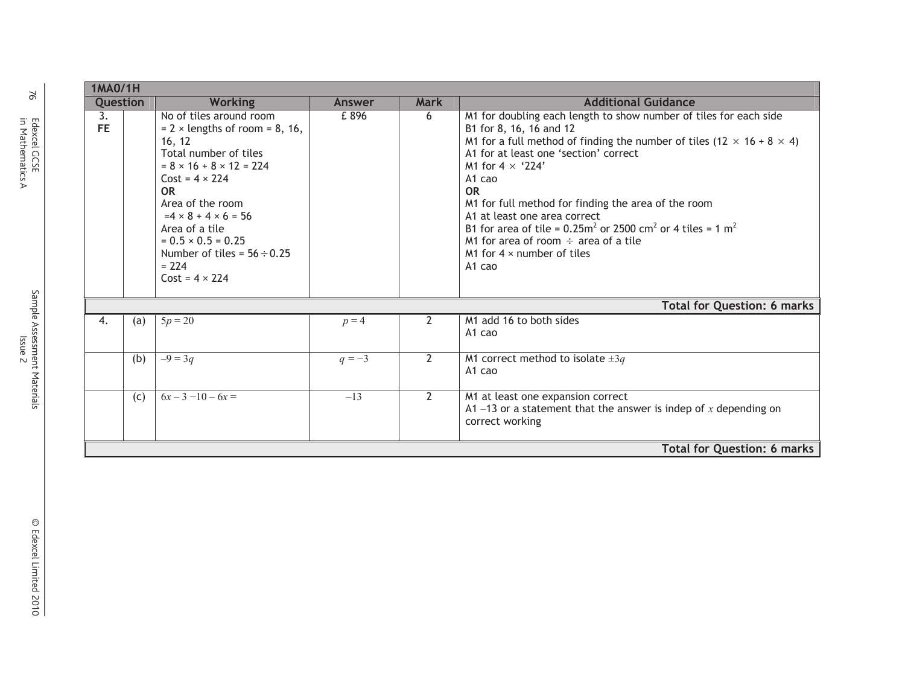|                             | <b>1MA0/1H</b> |     |                                                                                                                                                                                                                                                                                                                                                                |          |                |                                                                                                                                                                                                                                                                                                                                                                                                                                                                                                                                                         |
|-----------------------------|----------------|-----|----------------------------------------------------------------------------------------------------------------------------------------------------------------------------------------------------------------------------------------------------------------------------------------------------------------------------------------------------------------|----------|----------------|---------------------------------------------------------------------------------------------------------------------------------------------------------------------------------------------------------------------------------------------------------------------------------------------------------------------------------------------------------------------------------------------------------------------------------------------------------------------------------------------------------------------------------------------------------|
| 97                          | Question       |     | <b>Working</b>                                                                                                                                                                                                                                                                                                                                                 | Answer   | <b>Mark</b>    | <b>Additional Guidance</b>                                                                                                                                                                                                                                                                                                                                                                                                                                                                                                                              |
| Edexcel GCSE                | 3.<br>FE.      |     | No of tiles around room<br>$= 2 \times$ lengths of room = 8, 16,<br>16, 12<br>Total number of tiles<br>$= 8 \times 16 + 8 \times 12 = 224$<br>$Cost = 4 \times 224$<br><b>OR</b><br>Area of the room<br>$=4 \times 8 + 4 \times 6 = 56$<br>Area of a tile<br>$= 0.5 \times 0.5 = 0.25$<br>Number of tiles = $56 \div 0.25$<br>$= 224$<br>$Cost = 4 \times 224$ | £ 896    | 6              | M1 for doubling each length to show number of tiles for each side<br>B1 for 8, 16, 16 and 12<br>M1 for a full method of finding the number of tiles $(12 \times 16 + 8 \times 4)$<br>A1 for at least one 'section' correct<br>M1 for $4 \times 224'$<br>A1 cao<br><b>OR</b><br>M1 for full method for finding the area of the room<br>A1 at least one area correct<br>B1 for area of tile = $0.25m^2$ or 2500 cm <sup>2</sup> or 4 tiles = 1 m <sup>2</sup><br>M1 for area of room $\div$ area of a tile<br>M1 for $4 \times$ number of tiles<br>A1 cao |
|                             |                |     |                                                                                                                                                                                                                                                                                                                                                                |          |                | <b>Total for Question: 6 marks</b>                                                                                                                                                                                                                                                                                                                                                                                                                                                                                                                      |
| Sample Assessment Materials | 4.             | (a) | $5p = 20$                                                                                                                                                                                                                                                                                                                                                      | $p = 4$  | $\overline{2}$ | M1 add 16 to both sides<br>A1 cao                                                                                                                                                                                                                                                                                                                                                                                                                                                                                                                       |
|                             |                | (b) | $-9 = 3q$                                                                                                                                                                                                                                                                                                                                                      | $q = -3$ | $\overline{2}$ | M1 correct method to isolate $\pm 3q$<br>A1 cao                                                                                                                                                                                                                                                                                                                                                                                                                                                                                                         |
|                             |                | (C) | $6x - 3 - 10 - 6x =$                                                                                                                                                                                                                                                                                                                                           | $-13$    | $\overline{2}$ | M1 at least one expansion correct<br>A1 -13 or a statement that the answer is indep of $x$ depending on<br>correct working                                                                                                                                                                                                                                                                                                                                                                                                                              |
|                             |                |     |                                                                                                                                                                                                                                                                                                                                                                |          |                | <b>Total for Question: 6 marks</b>                                                                                                                                                                                                                                                                                                                                                                                                                                                                                                                      |
| © Edexcel Limited 2010      |                |     |                                                                                                                                                                                                                                                                                                                                                                |          |                |                                                                                                                                                                                                                                                                                                                                                                                                                                                                                                                                                         |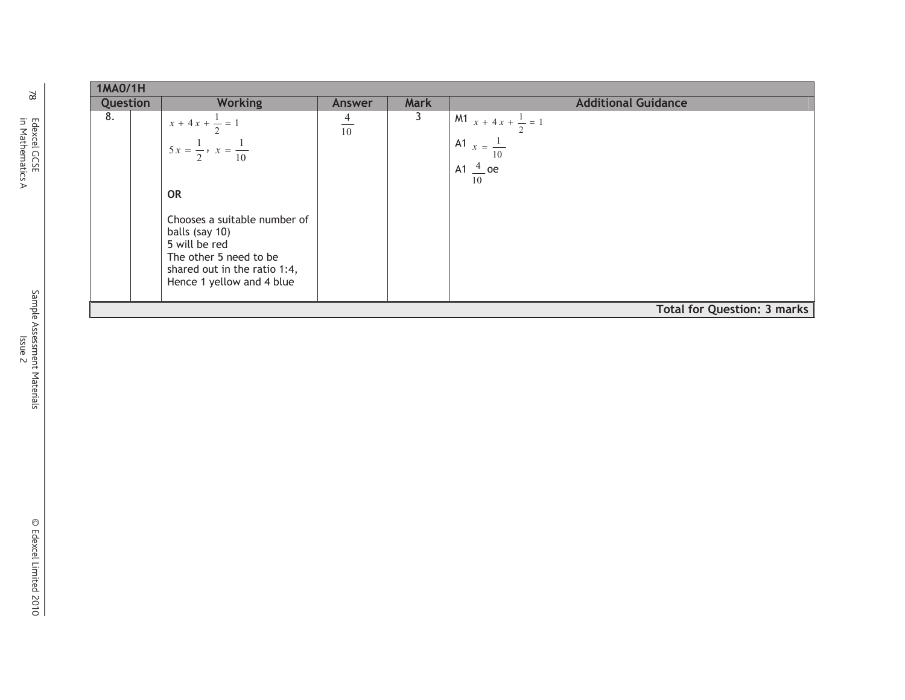| <b>1MA0/1H</b>   |  |                                                                                                                                                        |                |                |                                                                                |                                    |
|------------------|--|--------------------------------------------------------------------------------------------------------------------------------------------------------|----------------|----------------|--------------------------------------------------------------------------------|------------------------------------|
| <b>Question</b>  |  | <b>Working</b>                                                                                                                                         |                | <b>Mark</b>    |                                                                                | <b>Additional Guidance</b>         |
| $\overline{8}$ . |  | $x + 4x + \frac{1}{2} = 1$<br>$5x = \frac{1}{2}$ , $x = \frac{1}{10}$                                                                                  | $\frac{4}{10}$ | $\overline{3}$ | M1 $x + 4x + \frac{1}{2} = 1$<br>A1 $x = \frac{1}{10}$<br>A1 $\frac{4}{10}$ oe |                                    |
|                  |  | OR                                                                                                                                                     |                |                |                                                                                |                                    |
|                  |  | Chooses a suitable number of<br>balls (say 10)<br>5 will be red<br>The other 5 need to be<br>shared out in the ratio 1:4,<br>Hence 1 yellow and 4 blue |                |                |                                                                                |                                    |
|                  |  |                                                                                                                                                        |                |                |                                                                                | <b>Total for Question: 3 marks</b> |
|                  |  |                                                                                                                                                        |                |                |                                                                                |                                    |
|                  |  |                                                                                                                                                        |                |                |                                                                                |                                    |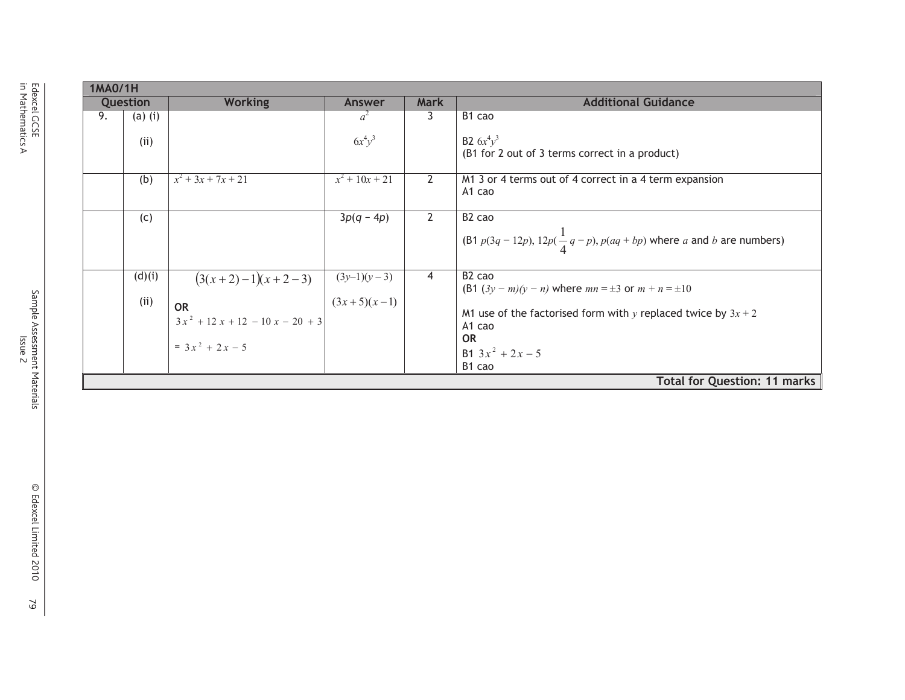| <b>1MA0/1H</b> |               |                                                                                               |                                                        |                       |                                                                                                                                                                                                    |
|----------------|---------------|-----------------------------------------------------------------------------------------------|--------------------------------------------------------|-----------------------|----------------------------------------------------------------------------------------------------------------------------------------------------------------------------------------------------|
|                | Question      | <b>Working</b>                                                                                | Answer                                                 | <b>Mark</b>           | <b>Additional Guidance</b>                                                                                                                                                                         |
| 9.             | $(a)$ (i)     |                                                                                               | $a^2$                                                  | 3                     | B1 cao                                                                                                                                                                                             |
|                | (i)           |                                                                                               | $6x^4y^3$                                              |                       | <b>B2</b> $6x^4y^3$<br>(B1 for 2 out of 3 terms correct in a product)                                                                                                                              |
|                | (b)           | $x^2$ + 3x + 7x + 21                                                                          | $x^2 + 10x + 21$                                       | $\mathbf{2}$          | M1 3 or 4 terms out of 4 correct in a 4 term expansion<br>A1 cao                                                                                                                                   |
|                | (c)           |                                                                                               | $3p(q - 4p)$                                           | $\mathbf{2}^{\prime}$ | B <sub>2</sub> cao<br>(B1 $p(3q - 12p)$ , $12p(\frac{1}{4}q - p)$ , $p(aq + bp)$ where a and b are numbers)                                                                                        |
|                | (d)(i)<br>(i) | $(3(x+2)-1)(x+2-3)$<br>OR<br>$3x^2 + 12x + 12 - 10x - 20 + 3$<br>$=$ 3x <sup>2</sup> + 2x - 5 | $\begin{cases} (3y-1)(y-3) \\ (3x+5)(x-1) \end{cases}$ | $\overline{4}$        | B <sub>2</sub> cao<br>$(B1 (3y - m)(y - n)$ where $mn = \pm 3$ or $m + n = \pm 10$<br>M1 use of the factorised form with y replaced twice by $3x + 2$<br>A1 cao<br><b>OR</b><br>B1 $3x^2 + 2x - 5$ |
|                |               |                                                                                               |                                                        |                       | B1 cao<br><b>Total for Question: 11 marks</b>                                                                                                                                                      |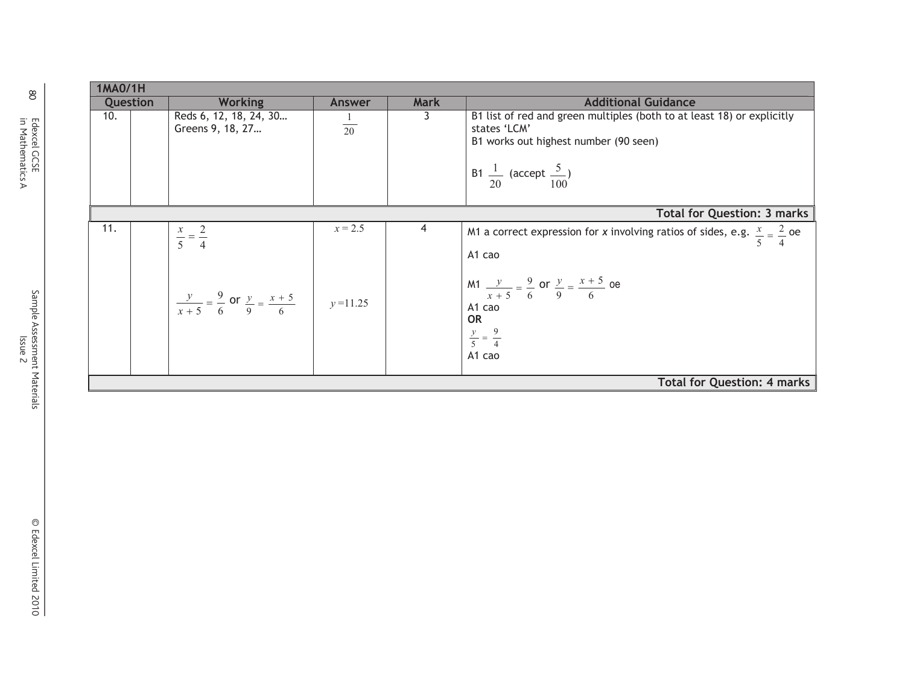| <b>1MA0/1H</b> |                                                                                               |                          |             |                                                                                                                                                                                                       |
|----------------|-----------------------------------------------------------------------------------------------|--------------------------|-------------|-------------------------------------------------------------------------------------------------------------------------------------------------------------------------------------------------------|
| Question       | <b>Working</b>                                                                                | Answer                   | <b>Mark</b> | <b>Additional Guidance</b>                                                                                                                                                                            |
| 10.            | Greens 9, 18, 27                                                                              | $\mathbf{1}$<br>20       | 3           | B1 list of red and green multiples (both to at least 18) or explicitly<br>states 'LCM'<br>B1 works out highest number (90 seen)<br>B1 $\frac{1}{20}$ (accept $\frac{5}{100}$ )                        |
|                |                                                                                               |                          |             | <b>Total for Question: 3 marks</b>                                                                                                                                                                    |
| 11.            | $\frac{x}{5} = \frac{2}{4}$<br>$\frac{y}{x+5} = \frac{9}{6}$ or $\frac{y}{9} = \frac{x+5}{6}$ | $x = 2.5$<br>$y = 11.25$ | 4           | M1 a correct expression for x involving ratios of sides, e.g. $\frac{x}{5} = \frac{2}{4}$ oe<br>A1 cao<br>M1 $\frac{y}{x+5} = \frac{9}{6}$ or $\frac{y}{9} = \frac{x+5}{6}$ oe<br>A1 cao<br><b>OR</b> |
|                |                                                                                               |                          |             | $\frac{y}{5} = \frac{9}{4}$<br>A1 cao<br><b>Total for Question: 4 marks</b>                                                                                                                           |
|                |                                                                                               |                          |             |                                                                                                                                                                                                       |
|                |                                                                                               | Reds 6, 12, 18, 24, 30   |             |                                                                                                                                                                                                       |

in Mathematics A  $\blacksquare$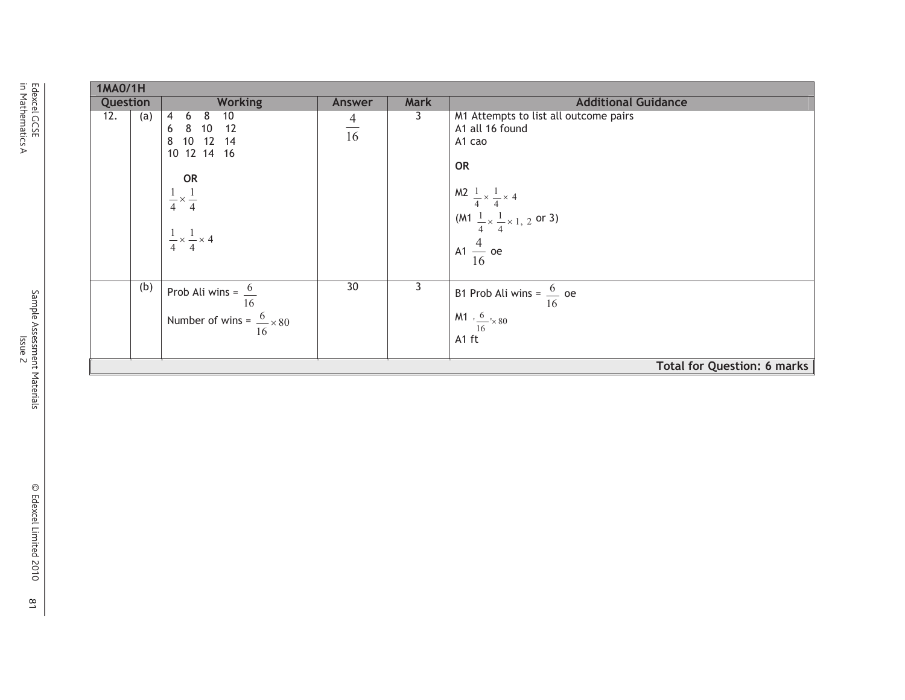| <b>1MA0/1H</b> |                                                                                                                                                          |                      |             |                                                                                                                                                                                                                    |  |  |  |  |
|----------------|----------------------------------------------------------------------------------------------------------------------------------------------------------|----------------------|-------------|--------------------------------------------------------------------------------------------------------------------------------------------------------------------------------------------------------------------|--|--|--|--|
| Question       | <b>Working</b>                                                                                                                                           | Answer               | <b>Mark</b> | <b>Additional Guidance</b>                                                                                                                                                                                         |  |  |  |  |
| 12.<br>(a)     | 8<br>4<br>6<br>10<br>8 10 12<br>6<br>10 12 14<br>8<br>10 12 14 16<br>OR<br>$\frac{1}{4} \times \frac{1}{4}$<br>$\frac{1}{4} \times \frac{1}{4} \times 4$ | 4<br>$\overline{16}$ | 3           | M1 Attempts to list all outcome pairs<br>A1 all 16 found<br>A1 cao<br><b>OR</b><br>M2 $\frac{1}{4} \times \frac{1}{4} \times 4$<br>(M1 $\frac{1}{4} \times \frac{1}{4} \times 1$ , 2 or 3)<br>A1 $\frac{4}{16}$ oe |  |  |  |  |
| (b)            | Prob Ali wins = $\frac{6}{1}$<br>16<br>Number of wins = $\frac{6}{16} \times 80$                                                                         | $\overline{30}$      | 3           | B1 Prob Ali wins = $\frac{6}{2}$ oe<br>16<br><b>M1</b> $\frac{6}{16}$ $\times 80$<br>A1 ft                                                                                                                         |  |  |  |  |
|                |                                                                                                                                                          |                      |             | <b>Total for Question: 6 marks</b>                                                                                                                                                                                 |  |  |  |  |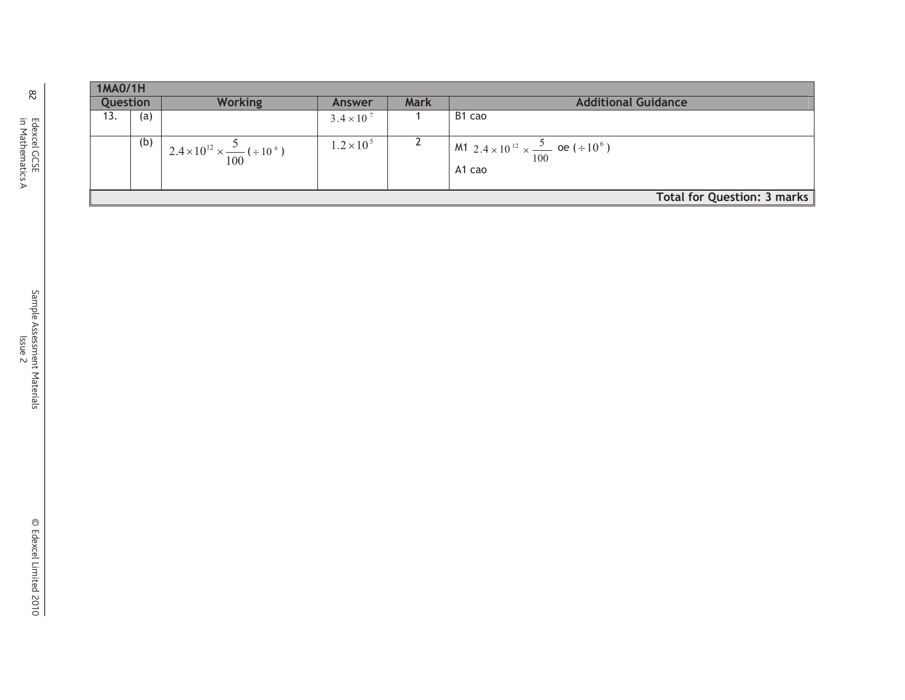|                             | <b>1MA0/1H</b>   |     |                                                                  |                   |                |                                                                              |  |
|-----------------------------|------------------|-----|------------------------------------------------------------------|-------------------|----------------|------------------------------------------------------------------------------|--|
| $\mathsf{g}_2$              | <b>Question</b>  |     | <b>Working</b>                                                   | Answer            | <b>Mark</b>    | <b>Additional Guidance</b>                                                   |  |
|                             | $\overline{13.}$ | (a) |                                                                  | $3.4\times10^7$   | $\mathbf{1}$   | B1 cao                                                                       |  |
| Edexcel GCSE                |                  | (b) | $2.4 \times 10^{12} \times \frac{5}{100}$ ( ÷ 10 <sup>.6</sup> ) | $1.2 \times 10^5$ | $\overline{2}$ | M1 2.4 × 10 <sup>12</sup> × $\frac{5}{100}$ oe (÷10 <sup>6</sup> )<br>A1 cao |  |
|                             |                  |     |                                                                  |                   |                | <b>Total for Question: 3 marks</b>                                           |  |
|                             |                  |     |                                                                  |                   |                |                                                                              |  |
|                             |                  |     |                                                                  |                   |                |                                                                              |  |
|                             |                  |     |                                                                  |                   |                |                                                                              |  |
|                             |                  |     |                                                                  |                   |                |                                                                              |  |
|                             |                  |     |                                                                  |                   |                |                                                                              |  |
|                             |                  |     |                                                                  |                   |                |                                                                              |  |
|                             |                  |     |                                                                  |                   |                |                                                                              |  |
|                             |                  |     |                                                                  |                   |                |                                                                              |  |
|                             |                  |     |                                                                  |                   |                |                                                                              |  |
| Sample Assessment Materials |                  |     |                                                                  |                   |                |                                                                              |  |
|                             |                  |     |                                                                  |                   |                |                                                                              |  |
|                             |                  |     |                                                                  |                   |                |                                                                              |  |
|                             |                  |     |                                                                  |                   |                |                                                                              |  |
|                             |                  |     |                                                                  |                   |                |                                                                              |  |
|                             |                  |     |                                                                  |                   |                |                                                                              |  |
|                             |                  |     |                                                                  |                   |                |                                                                              |  |
|                             |                  |     |                                                                  |                   |                |                                                                              |  |
|                             |                  |     |                                                                  |                   |                |                                                                              |  |
|                             |                  |     |                                                                  |                   |                |                                                                              |  |
|                             |                  |     |                                                                  |                   |                |                                                                              |  |
| © Edexcel Limited 2010      |                  |     |                                                                  |                   |                |                                                                              |  |
|                             |                  |     |                                                                  |                   |                |                                                                              |  |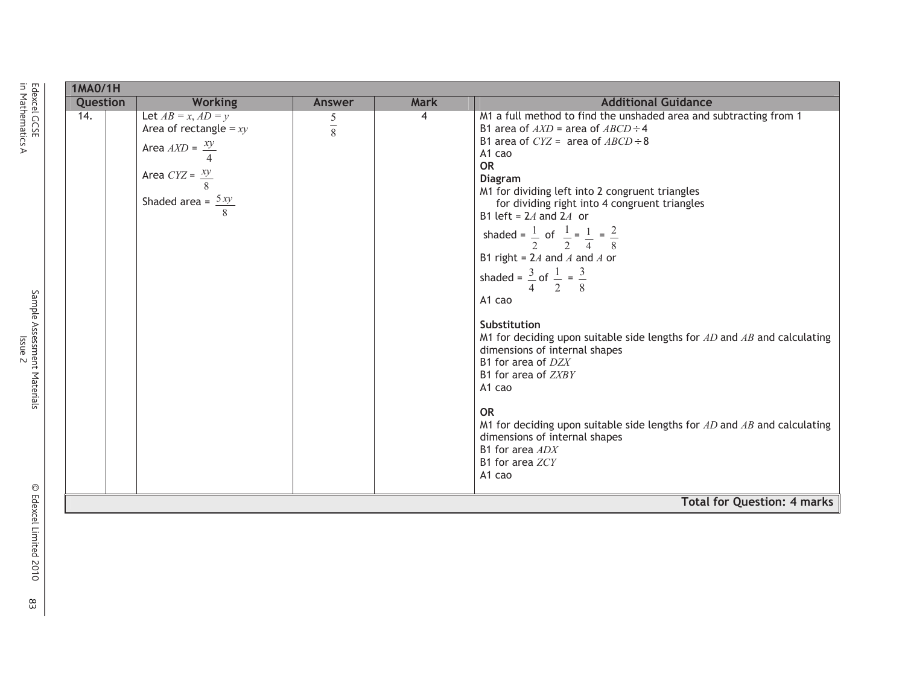| <b>1MA0/1H</b> |                                                                                                                                                 |               |             |                                                                                                                                                                                                                                                                                                                                                                                                                                                                                                                                                                                                                                                                                                                                                                                                                                                                                          |  |  |  |
|----------------|-------------------------------------------------------------------------------------------------------------------------------------------------|---------------|-------------|------------------------------------------------------------------------------------------------------------------------------------------------------------------------------------------------------------------------------------------------------------------------------------------------------------------------------------------------------------------------------------------------------------------------------------------------------------------------------------------------------------------------------------------------------------------------------------------------------------------------------------------------------------------------------------------------------------------------------------------------------------------------------------------------------------------------------------------------------------------------------------------|--|--|--|
| Question       | <b>Working</b>                                                                                                                                  | <b>Answer</b> | <b>Mark</b> | <b>Additional Guidance</b>                                                                                                                                                                                                                                                                                                                                                                                                                                                                                                                                                                                                                                                                                                                                                                                                                                                               |  |  |  |
| 14.            | Let $AB = x$ , $AD = y$<br>Area of rectangle = $xy$<br>Area $AND = \frac{xy}{ }$<br>Area CYZ = $\frac{xy}{8}$<br>Shaded area = $\frac{5 xy}{ }$ | $\frac{5}{8}$ | 4           | M1 a full method to find the unshaded area and subtracting from 1<br>B1 area of $AXD$ = area of $ABCD \div 4$<br>B1 area of $CYZ =$ area of $ABCD \div 8$<br>A1 cao<br><b>OR</b><br><b>Diagram</b><br>M1 for dividing left into 2 congruent triangles<br>for dividing right into 4 congruent triangles<br>B1 left = $2A$ and $2A$ or<br>shaded = $\frac{1}{2}$ of $\frac{1}{2} = \frac{1}{4} = \frac{2}{8}$<br>B1 right = $2A$ and A and A or<br>shaded = $\frac{3}{2}$ of $\frac{1}{2}$ = $\frac{3}{2}$<br>A1 cao<br>Substitution<br>M1 for deciding upon suitable side lengths for $AD$ and $AB$ and calculating<br>dimensions of internal shapes<br>B1 for area of DZX<br>B1 for area of ZXBY<br>A1 cao<br><b>OR</b><br>M1 for deciding upon suitable side lengths for $AD$ and $AB$ and calculating<br>dimensions of internal shapes<br>B1 for area ADX<br>B1 for area ZCY<br>A1 cao |  |  |  |
|                |                                                                                                                                                 |               |             | <b>Total for Question: 4 marks</b>                                                                                                                                                                                                                                                                                                                                                                                                                                                                                                                                                                                                                                                                                                                                                                                                                                                       |  |  |  |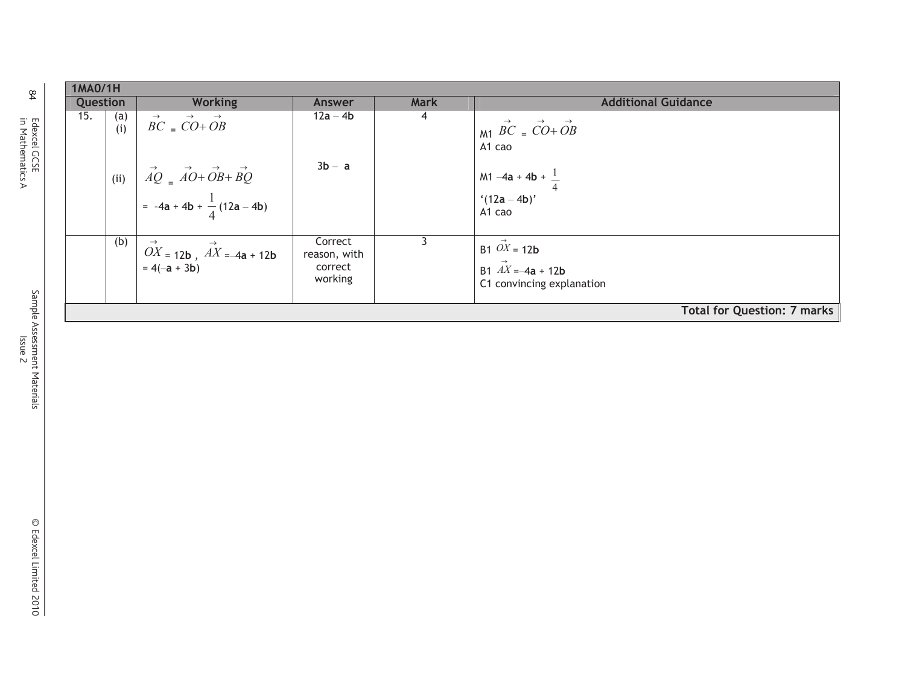|                             | <b>1MA0/1H</b> |            |                                                                                      |                                               |                |                                                                                                             |  |  |
|-----------------------------|----------------|------------|--------------------------------------------------------------------------------------|-----------------------------------------------|----------------|-------------------------------------------------------------------------------------------------------------|--|--|
| $^{84}$                     | Question       |            | <b>Working</b>                                                                       | Answer                                        | <b>Mark</b>    | <b>Additional Guidance</b>                                                                                  |  |  |
| Edexcel GCSE                | 15.            | (a)<br>(i) | $\vec{BC} = \vec{CO} + \vec{OB}$                                                     | $12a - 4b$                                    | $\overline{4}$ | M1 $\overrightarrow{BC} = \overrightarrow{CO} + \overrightarrow{OB}$<br>A1 cao                              |  |  |
|                             |                | (i)        | $\vec{AQ} = \vec{AO} + \vec{OB} + \vec{BQ}$<br>= -4a + 4b + $\frac{1}{4}$ (12a – 4b) | $3b - a$                                      |                | $M1 - 4a + 4b + \frac{1}{4}$<br>$'(12a - 4b)'$                                                              |  |  |
|                             |                |            |                                                                                      |                                               |                | A1 cao                                                                                                      |  |  |
|                             |                | (b)        | $\overrightarrow{OX} = 12b$ , $\overrightarrow{AX} = -4a + 12b$<br>$= 4(-a + 3b)$    | Correct<br>reason, with<br>correct<br>working | $\overline{3}$ | $\overrightarrow{B1}$ $\overrightarrow{OX}$ = 12b<br>B1 $\vec{AX} = -4a + 12b$<br>C1 convincing explanation |  |  |
|                             |                |            |                                                                                      |                                               |                | <b>Total for Question: 7 marks</b>                                                                          |  |  |
| Sample Assessment Materials |                |            |                                                                                      |                                               |                |                                                                                                             |  |  |
| © Edexcel Limited 2010      |                |            |                                                                                      |                                               |                |                                                                                                             |  |  |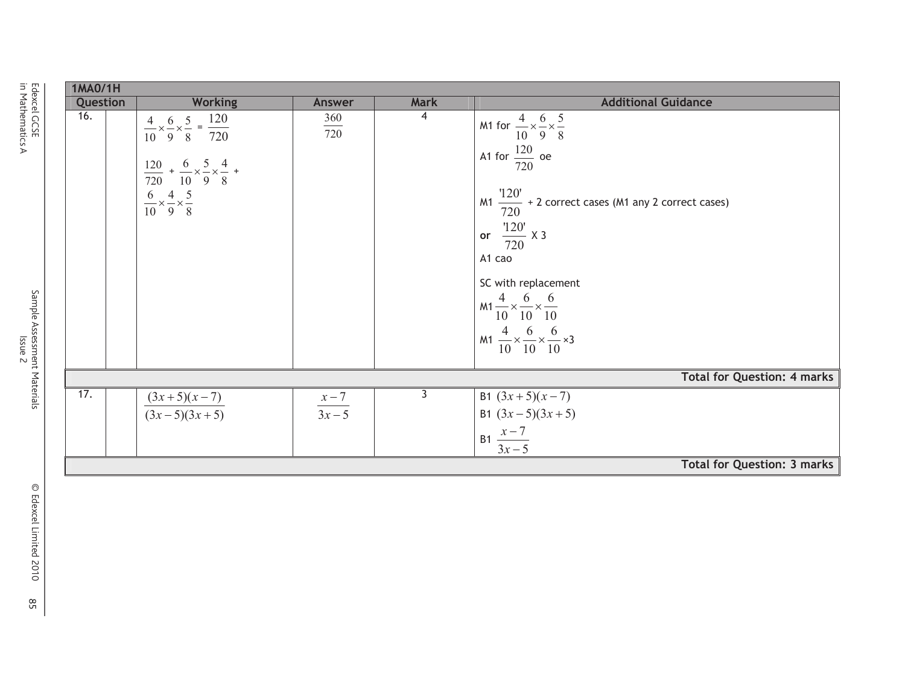|                                             | <b>1MA0/1H</b> |                                                                                                                                                                                                          |                    |                |                                                                                                                                                                                                                                                                                                                                                                        |
|---------------------------------------------|----------------|----------------------------------------------------------------------------------------------------------------------------------------------------------------------------------------------------------|--------------------|----------------|------------------------------------------------------------------------------------------------------------------------------------------------------------------------------------------------------------------------------------------------------------------------------------------------------------------------------------------------------------------------|
|                                             | Question       | <b>Working</b>                                                                                                                                                                                           | Answer             | <b>Mark</b>    | <b>Additional Guidance</b>                                                                                                                                                                                                                                                                                                                                             |
| Edexcel GCSE<br>Sample Assessment Materials | 16.            | $\frac{4}{10} \times \frac{6}{9} \times \frac{5}{8} = \frac{120}{720}$<br>$\frac{120}{720} + \frac{6}{10} \times \frac{5}{9} \times \frac{4}{8} +$<br>$rac{6}{10} \times \frac{4}{9} \times \frac{5}{8}$ | 360<br>720         | $\overline{4}$ | M1 for $\frac{4}{10} \times \frac{6}{9} \times \frac{5}{8}$<br>A1 for $\frac{120}{720}$ oe<br>720<br>M1 $\frac{120'}{720}$ + 2 correct cases (M1 any 2 correct cases)<br>or $\frac{120'}{720}$ X 3<br>A1 cao<br>SC with replacement<br>M1 $\frac{4}{10} \times \frac{6}{10} \times \frac{6}{10}$<br>M1 $\frac{4}{10} \times \frac{6}{10} \times \frac{6}{10} \times 3$ |
|                                             |                |                                                                                                                                                                                                          |                    |                | <b>Total for Question: 4 marks</b>                                                                                                                                                                                                                                                                                                                                     |
|                                             | 17.            | $(3x+5)(x-7)$<br>$(3x-5)(3x+5)$                                                                                                                                                                          | $\frac{x-7}{3x-5}$ | $\mathbf{3}$   | B1 $(3x+5)(x-7)$<br>B1 $(3x-5)(3x+5)$<br>$x-7$<br>B1 $\frac{x-7}{2}$<br>$3x - 5$<br><b>Total for Question: 3 marks</b>                                                                                                                                                                                                                                                 |
| © Edexcel Limited 2010                      |                |                                                                                                                                                                                                          |                    |                |                                                                                                                                                                                                                                                                                                                                                                        |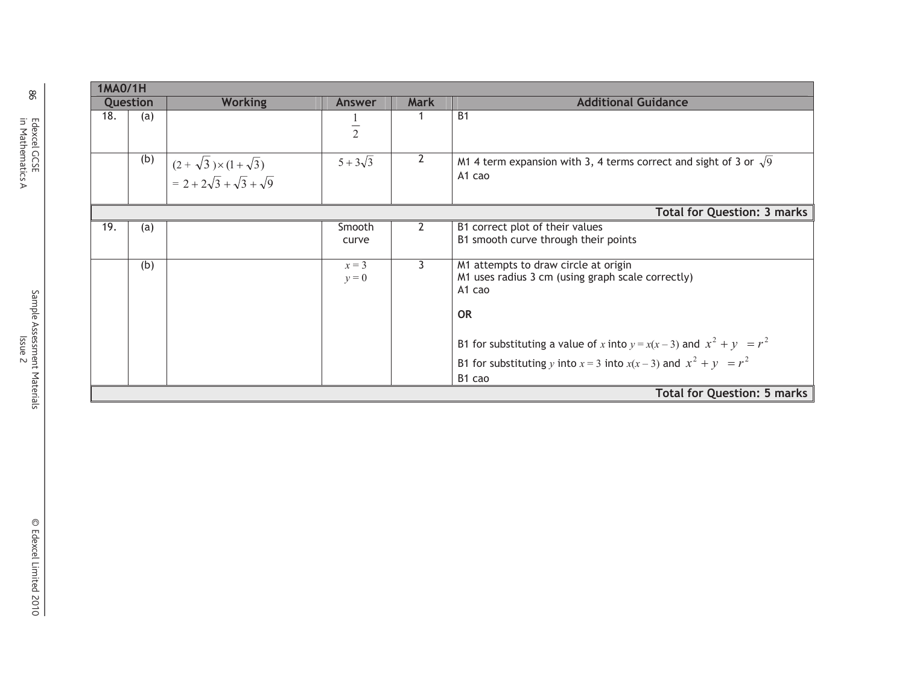| 86                          | <b>1MA0/1H</b> |          |                                                                                   |                    |                |                                                                                                                                                                                                                                                                    |  |  |
|-----------------------------|----------------|----------|-----------------------------------------------------------------------------------|--------------------|----------------|--------------------------------------------------------------------------------------------------------------------------------------------------------------------------------------------------------------------------------------------------------------------|--|--|
|                             |                | Question | <b>Working</b>                                                                    | <b>Answer</b>      | <b>Mark</b>    | <b>Additional Guidance</b>                                                                                                                                                                                                                                         |  |  |
| Edexcel GCSE                | 18.            | (a)      |                                                                                   | $\overline{2}$     | 1              | B <sub>1</sub>                                                                                                                                                                                                                                                     |  |  |
|                             |                | (b)      | $(2 + \sqrt{3}) \times (1 + \sqrt{3})$<br>$= 2 + 2\sqrt{3} + \sqrt{3} + \sqrt{9}$ | $5 + 3\sqrt{3}$    | $\overline{2}$ | M1 4 term expansion with 3, 4 terms correct and sight of 3 or $\sqrt{9}$<br>A1 cao                                                                                                                                                                                 |  |  |
|                             |                |          |                                                                                   |                    |                | <b>Total for Question: 3 marks</b>                                                                                                                                                                                                                                 |  |  |
|                             | 19.            | (a)      |                                                                                   | Smooth<br>curve    | $\overline{2}$ | B1 correct plot of their values<br>B1 smooth curve through their points                                                                                                                                                                                            |  |  |
| Sample Assessment Materials |                | (b)      |                                                                                   | $x = 3$<br>$y = 0$ | $\overline{3}$ | M1 attempts to draw circle at origin<br>M1 uses radius 3 cm (using graph scale correctly)<br>A1 cao<br><b>OR</b><br>B1 for substituting a value of x into $y = x(x-3)$ and $x^2 + y = r^2$<br>B1 for substituting y into $x = 3$ into $x(x-3)$ and $x^2 + y = r^2$ |  |  |
|                             |                |          |                                                                                   |                    |                | B1 cao                                                                                                                                                                                                                                                             |  |  |
|                             |                |          |                                                                                   |                    |                | <b>Total for Question: 5 marks</b>                                                                                                                                                                                                                                 |  |  |
|                             |                |          |                                                                                   |                    |                |                                                                                                                                                                                                                                                                    |  |  |
| © Edexcel Limited 2010      |                |          |                                                                                   |                    |                |                                                                                                                                                                                                                                                                    |  |  |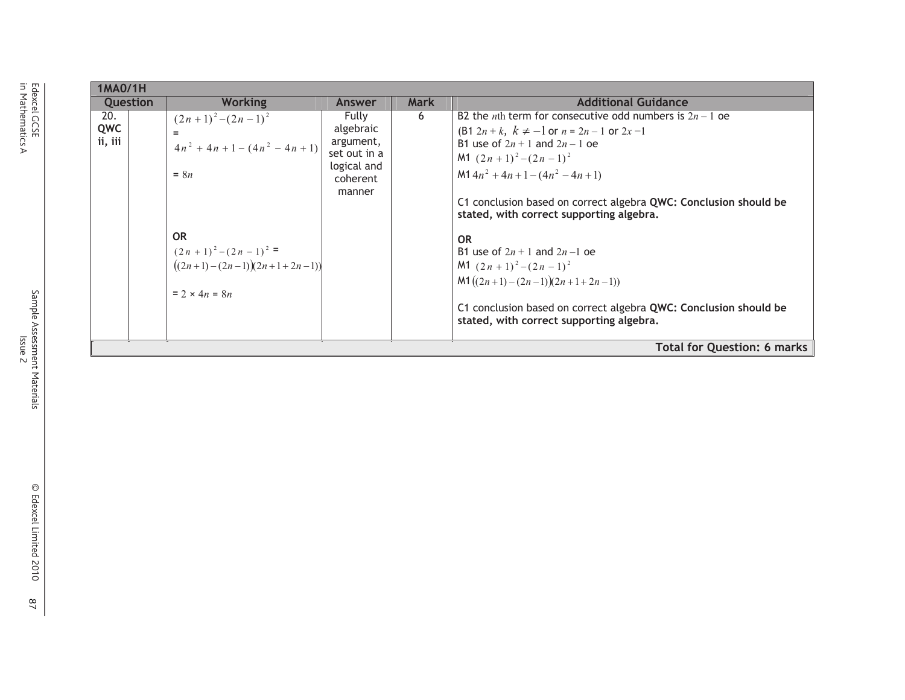| <b>1MA0/1H</b>        |                                                                                                                                                                             |                                                                                      |             |                                                                                                                                                                                                                                                                                                                                                                                                                                                                                                                                                                                |
|-----------------------|-----------------------------------------------------------------------------------------------------------------------------------------------------------------------------|--------------------------------------------------------------------------------------|-------------|--------------------------------------------------------------------------------------------------------------------------------------------------------------------------------------------------------------------------------------------------------------------------------------------------------------------------------------------------------------------------------------------------------------------------------------------------------------------------------------------------------------------------------------------------------------------------------|
| Question              | <b>Working</b>                                                                                                                                                              | Answer                                                                               | <b>Mark</b> | <b>Additional Guidance</b>                                                                                                                                                                                                                                                                                                                                                                                                                                                                                                                                                     |
| 20.<br>QWC<br>ii, iii | $(2n+1)^2-(2n-1)^2$<br>$4n^2 + 4n + 1 - (4n^2 - 4n + 1)$<br>$= 8n$<br><b>OR</b><br>$(2n + 1)^{2} - (2n - 1)^{2} =$<br>$((2n+1)-(2n-1))(2n+1+2n-1))$<br>$= 2 \times 4n = 8n$ | Fully<br>algebraic<br>argument,<br>set out in a<br>logical and<br>coherent<br>manner | 6           | B2 the <i>n</i> th term for consecutive odd numbers is $2n - 1$ oe<br>$(B1 2n+k, k \neq -1$ or $n = 2n - 1$ or $2x - 1$<br>B1 use of $2n + 1$ and $2n - 1$ oe<br>M1 $(2n+1)^2-(2n-1)^2$<br>$M14n^2 + 4n + 1 - (4n^2 - 4n + 1)$<br>C1 conclusion based on correct algebra QWC: Conclusion should be<br>stated, with correct supporting algebra.<br><b>OR</b><br>B1 use of $2n + 1$ and $2n - 1$ oe<br>M1 $(2n+1)^2-(2n-1)^2$<br>$M1((2n+1)-(2n-1))(2n+1+2n-1))$<br>C1 conclusion based on correct algebra QWC: Conclusion should be<br>stated, with correct supporting algebra. |
|                       |                                                                                                                                                                             |                                                                                      |             | <b>Total for Question: 6 marks</b>                                                                                                                                                                                                                                                                                                                                                                                                                                                                                                                                             |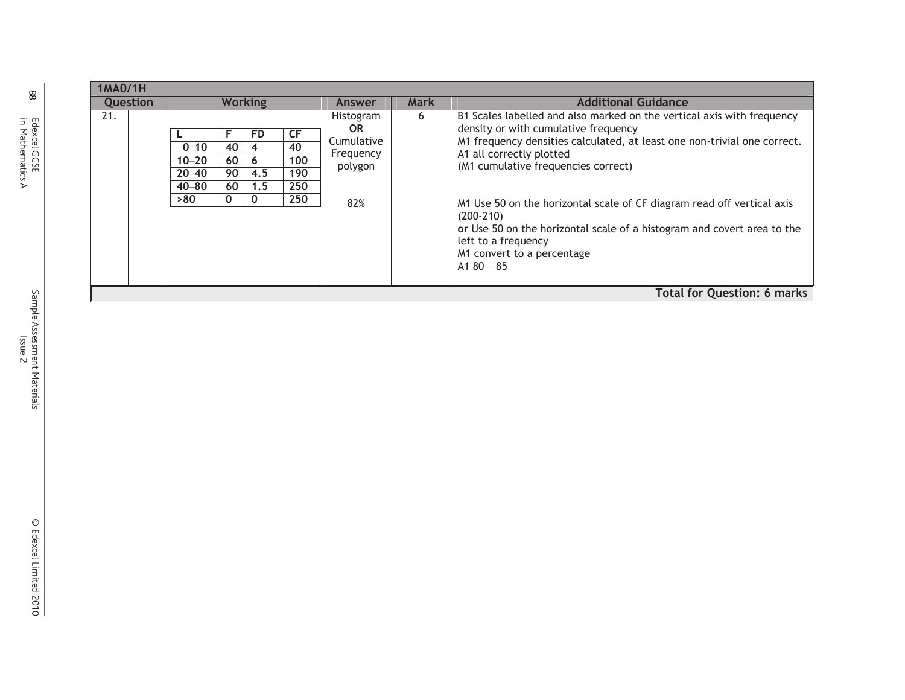| 88                          | <b>1MA0/1H</b>    |    |                                                             |                                                                                                        |                                      |                                                                     |             |                                                                                                                                                                                                                                                                                                                                                                                                                                                                                                        |  |  |
|-----------------------------|-------------------|----|-------------------------------------------------------------|--------------------------------------------------------------------------------------------------------|--------------------------------------|---------------------------------------------------------------------|-------------|--------------------------------------------------------------------------------------------------------------------------------------------------------------------------------------------------------------------------------------------------------------------------------------------------------------------------------------------------------------------------------------------------------------------------------------------------------------------------------------------------------|--|--|
|                             | Question          |    |                                                             | <b>Working</b>                                                                                         |                                      | <b>Answer</b>                                                       | <b>Mark</b> | <b>Additional Guidance</b>                                                                                                                                                                                                                                                                                                                                                                                                                                                                             |  |  |
| Edexcel GCSE                | $\overline{21}$ . | L. | F<br>$0 - 10$<br>$10 - 20$<br>$20 - 40$<br>$40 - 80$<br>>80 | <b>FD</b><br>40<br>$\overline{\mathbf{4}}$<br>60<br>6<br>90<br>4.5<br>60<br>1.5<br>0<br>$\overline{0}$ | CF<br>40<br>100<br>190<br>250<br>250 | Histogram<br><b>OR</b><br>Cumulative<br>Frequency<br>polygon<br>82% | 6           | B1 Scales labelled and also marked on the vertical axis with frequency<br>density or with cumulative frequency<br>M1 frequency densities calculated, at least one non-trivial one correct.<br>A1 all correctly plotted<br>(M1 cumulative frequencies correct)<br>M1 Use 50 on the horizontal scale of CF diagram read off vertical axis<br>$(200-210)$<br>or Use 50 on the horizontal scale of a histogram and covert area to the<br>left to a frequency<br>M1 convert to a percentage<br>A1 $80 - 85$ |  |  |
|                             |                   |    |                                                             |                                                                                                        |                                      |                                                                     |             | <b>Total for Question: 6 marks</b>                                                                                                                                                                                                                                                                                                                                                                                                                                                                     |  |  |
| Sample Assessment Materials |                   |    |                                                             |                                                                                                        |                                      |                                                                     |             |                                                                                                                                                                                                                                                                                                                                                                                                                                                                                                        |  |  |
| © Edexcel Limited 2010      |                   |    |                                                             |                                                                                                        |                                      |                                                                     |             |                                                                                                                                                                                                                                                                                                                                                                                                                                                                                                        |  |  |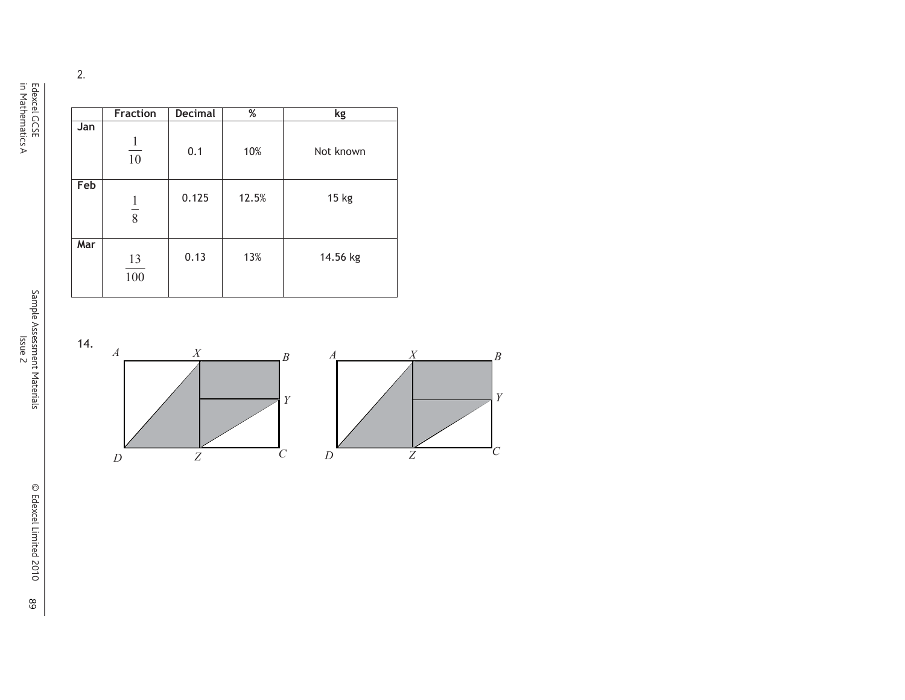|     | <b>Fraction</b> | <b>Decimal</b> | %     | kg        |
|-----|-----------------|----------------|-------|-----------|
| Jan | 1<br>10         | 0.1            | 10%   | Not known |
| Feb | 8               | 0.125          | 12.5% | 15 kg     |
| Mar | 13<br>100       | 0.13           | 13%   | 14.56 kg  |



2.